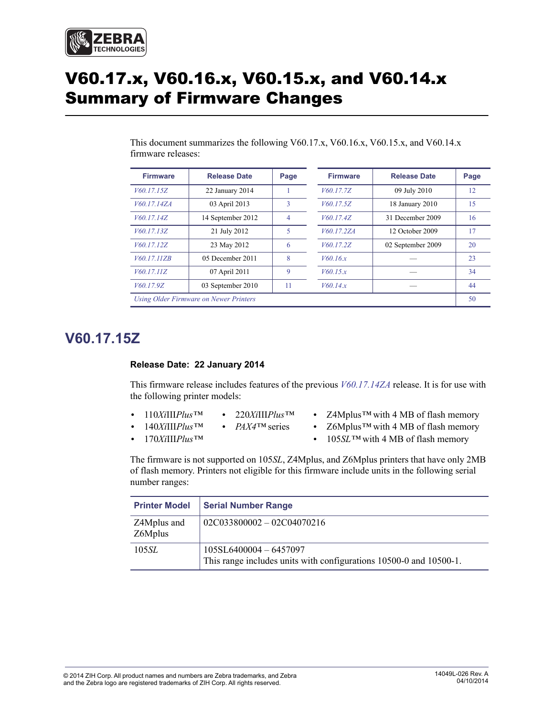

# V60.17.x, V60.16.x, V60.15.x, and V60.14.x Summary of Firmware Changes

| <b>Firmware</b>                        | <b>Release Date</b> | Page | <b>Firmware</b> | <b>Release Date</b> | Page |
|----------------------------------------|---------------------|------|-----------------|---------------------|------|
| V60.17.15Z                             | 22 January 2014     |      | V60.17.7Z       | 09 July 2010        | 12   |
| V60.17.14ZA                            | 03 April 2013       | 3    | V60.17.5Z       | 18 January 2010     | 15   |
| V60.17.14Z                             | 14 September 2012   | 4    | V60.17.4Z       | 31 December 2009    | 16   |
| V60.17.13Z                             | 21 July 2012        | 5    | V60.17.2ZA      | 12 October 2009     | 17   |
| V60.17.12Z                             | 23 May 2012         | 6    | V60.17.2Z       | 02 September 2009   | 20   |
| V60.17.11ZB                            | 05 December 2011    | 8    | V60.16x         |                     | 23   |
| V60.17.11Z                             | 07 April 2011       | 9    | V60.15.x        |                     | 34   |
| V60.17.9Z                              | 03 September 2010   | 11   | V60.14.x        |                     | 44   |
| Using Older Firmware on Newer Printers |                     |      | 50              |                     |      |

This document summarizes the following V60.17.x, V60.16.x, V60.15.x, and V60.14.x firmware releases:

### <span id="page-0-0"></span>**V60.17.15Z**

#### <span id="page-0-1"></span>**Release Date: 22 January 2014**

This firmware release includes features of the previous *[V60.17.14ZA](#page-2-1)* release. It is for use with the following printer models:

- **•** 110*Xi*III*Plus™* **•** 220*Xi*III*Plus™*
- **•** 140*Xi*III*Plus™* **•** *PAX4™* series
- **•** 170*Xi*III*Plus™*
- **•** Z4Mplus*™* with 4 MB of flash memory
- **•** Z6Mplus*™* with 4 MB of flash memory
- **•** 105*SL™* with 4 MB of flash memory

The firmware is not supported on 105*SL*, Z4Mplus, and Z6Mplus printers that have only 2MB of flash memory. Printers not eligible for this firmware include units in the following serial number ranges:

| <b>Printer Model</b>   | <b>Serial Number Range</b>                                                                   |
|------------------------|----------------------------------------------------------------------------------------------|
| Z4Mplus and<br>Z6Mplus | $02C033800002 - 02C04070216$                                                                 |
| 105 <i>SL</i>          | 105SL6400004 - 6457097<br>This range includes units with configurations 10500-0 and 10500-1. |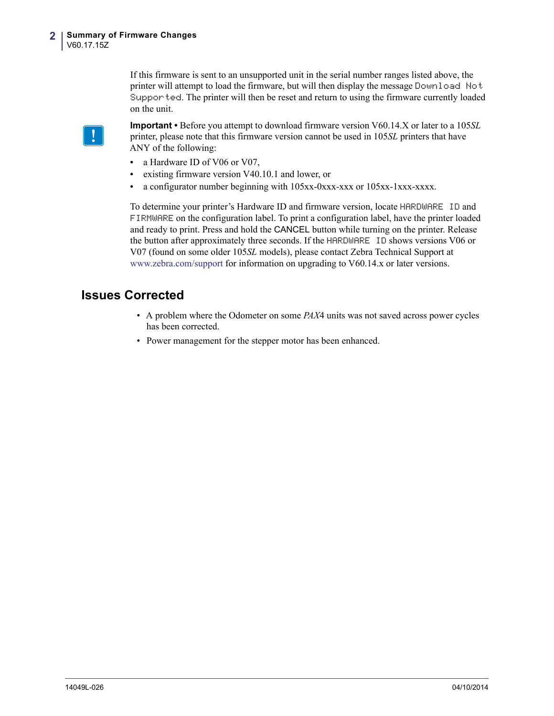If this firmware is sent to an unsupported unit in the serial number ranges listed above, the printer will attempt to load the firmware, but will then display the message Download Not Supported. The printer will then be reset and return to using the firmware currently loaded on the unit.

**Important •** Before you attempt to download firmware version V60.14.X or later to a 105*SL* printer, please note that this firmware version cannot be used in 105*SL* printers that have ANY of the following:

- a Hardware ID of V06 or V07,
- **•** existing firmware version V40.10.1 and lower, or
- **•** a configurator number beginning with 105xx-0xxx-xxx or 105xx-1xxx-xxxx.

To determine your printer's Hardware ID and firmware version, locate HARDWARE ID and FIRMWARE on the configuration label. To print a configuration label, have the printer loaded and ready to print. Press and hold the CANCEL button while turning on the printer. Release the button after approximately three seconds. If the HARDWARE ID shows versions V06 or V07 (found on some older 105*SL* models), please contact Zebra Technical Support at [www.zebra.com/support](http://www.zebra.com/support) for information on upgrading to V60.14.x or later versions.

- A problem where the Odometer on some *PAX*4 units was not saved across power cycles has been corrected.
- Power management for the stepper motor has been enhanced.

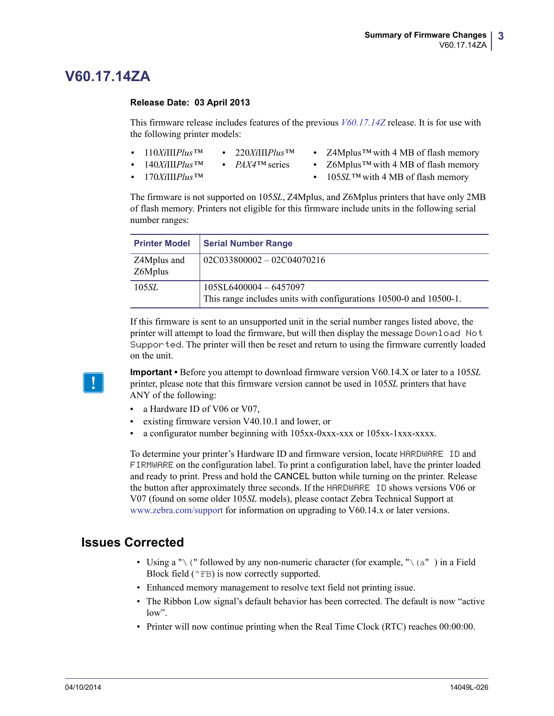### <span id="page-2-1"></span>**V60.17.14ZA**

#### <span id="page-2-0"></span>**Release Date: 03 April 2013**

This firmware release includes features of the previous *[V60.17.14Z](#page-3-0)* release. It is for use with the following printer models:

- **•** 110*Xi*III*Plus™* **•** 220*Xi*III*Plus™*
- **•** Z4Mplus*™* with 4 MB of flash memory
- **•** 140*Xi*III*Plus™*
- **•** *PAX4™* series
- **•** 170*Xi*III*Plus™*
- **•** Z6Mplus*™* with 4 MB of flash memory
- **•** 105*SL™* with 4 MB of flash memory

The firmware is not supported on 105*SL*, Z4Mplus, and Z6Mplus printers that have only 2MB of flash memory. Printers not eligible for this firmware include units in the following serial number ranges:

| <b>Printer Model</b>   | <b>Serial Number Range</b>                                                                     |
|------------------------|------------------------------------------------------------------------------------------------|
| Z4Mplus and<br>Z6Mplus | $02C033800002 - 02C04070216$                                                                   |
| 105 <i>SL</i>          | $105SL6400004 - 6457097$<br>This range includes units with configurations 10500-0 and 10500-1. |

If this firmware is sent to an unsupported unit in the serial number ranges listed above, the printer will attempt to load the firmware, but will then display the message Download Not Supported. The printer will then be reset and return to using the firmware currently loaded on the unit.



**Important •** Before you attempt to download firmware version V60.14.X or later to a 105*SL* printer, please note that this firmware version cannot be used in 105*SL* printers that have ANY of the following:

- a Hardware ID of V06 or V07,
- **•** existing firmware version V40.10.1 and lower, or
- **•** a configurator number beginning with 105xx-0xxx-xxx or 105xx-1xxx-xxxx.

To determine your printer's Hardware ID and firmware version, locate HARDWARE ID and FIRMWARE on the configuration label. To print a configuration label, have the printer loaded and ready to print. Press and hold the CANCEL button while turning on the printer. Release the button after approximately three seconds. If the HARDWARE ID shows versions V06 or V07 (found on some older 105*SL* models), please contact Zebra Technical Support at [www.zebra.com/support](http://www.zebra.com/support) for information on upgrading to V60.14.x or later versions.

- Using a " $\setminus$  (" followed by any non-numeric character (for example, " $\setminus$  (a") in a Field Block field  $(^{\wedge}FB)$  is now correctly supported.
- Enhanced memory management to resolve text field not printing issue.
- The Ribbon Low signal's default behavior has been corrected. The default is now "active low".
- Printer will now continue printing when the Real Time Clock (RTC) reaches 00:00:00.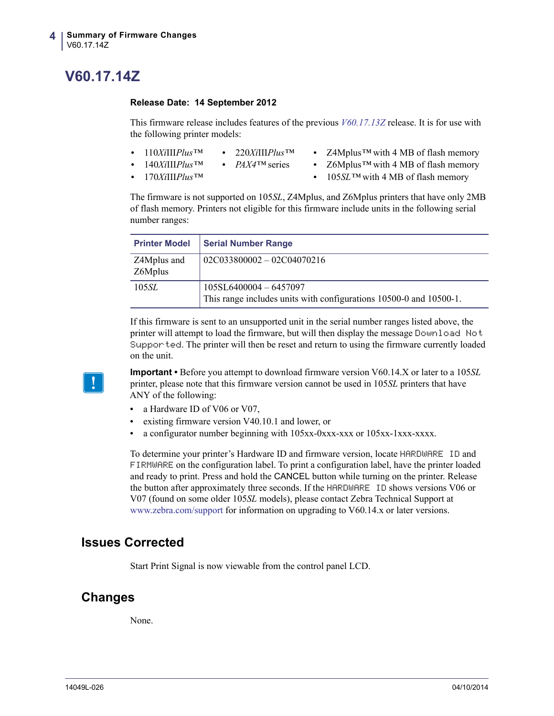## <span id="page-3-0"></span>**V60.17.14Z**

#### <span id="page-3-1"></span>**Release Date: 14 September 2012**

This firmware release includes features of the previous *[V60.17.13Z](#page-4-0)* release. It is for use with the following printer models:

- **•** 110*Xi*III*Plus™* **•** 220*Xi*III*Plus™*
- **•** Z4Mplus*™* with 4 MB of flash memory
- **•** 140*Xi*III*Plus™* **•** *PAX4™* series
- **•** Z6Mplus*™* with 4 MB of flash memory

**•** 170*Xi*III*Plus™*

**•** 105*SL™* with 4 MB of flash memory

The firmware is not supported on 105*SL*, Z4Mplus, and Z6Mplus printers that have only 2MB of flash memory. Printers not eligible for this firmware include units in the following serial number ranges:

| <b>Printer Model</b>   | <b>Serial Number Range</b>                                                                 |
|------------------------|--------------------------------------------------------------------------------------------|
| Z4Mplus and<br>Z6Mplus | $02C033800002 - 02C04070216$                                                               |
| 105 <i>SL</i>          | 105SL6400004-6457097<br>This range includes units with configurations 10500-0 and 10500-1. |

If this firmware is sent to an unsupported unit in the serial number ranges listed above, the printer will attempt to load the firmware, but will then display the message Download Not Supported. The printer will then be reset and return to using the firmware currently loaded on the unit.



**Important •** Before you attempt to download firmware version V60.14.X or later to a 105*SL* printer, please note that this firmware version cannot be used in 105*SL* printers that have ANY of the following:

- a Hardware ID of V06 or V07,
- **•** existing firmware version V40.10.1 and lower, or
- **•** a configurator number beginning with 105xx-0xxx-xxx or 105xx-1xxx-xxxx.

To determine your printer's Hardware ID and firmware version, locate HARDWARE ID and FIRMWARE on the configuration label. To print a configuration label, have the printer loaded and ready to print. Press and hold the CANCEL button while turning on the printer. Release the button after approximately three seconds. If the HARDWARE ID shows versions V06 or V07 (found on some older 105*SL* models), please contact Zebra Technical Support at [www.zebra.com/support](http://www.zebra.com/support) for information on upgrading to V60.14.x or later versions.

### **Issues Corrected**

Start Print Signal is now viewable from the control panel LCD.

### **Changes**

None.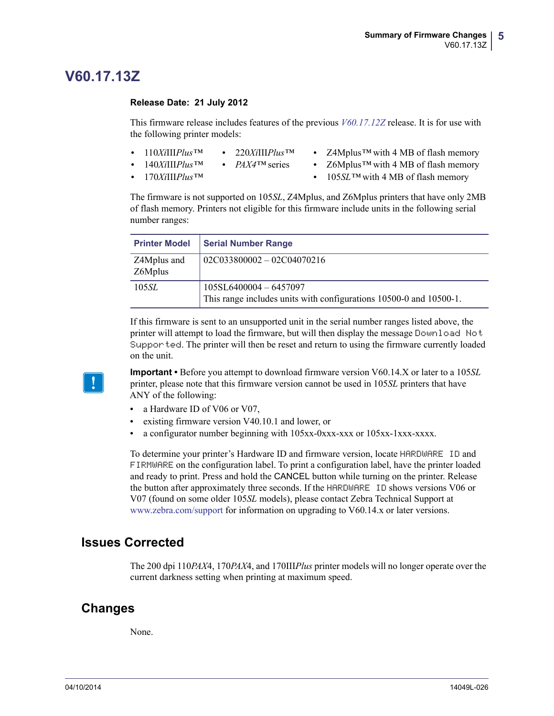### <span id="page-4-0"></span>**V60.17.13Z**

#### <span id="page-4-1"></span>**Release Date: 21 July 2012**

This firmware release includes features of the previous *[V60.17.12Z](#page-5-0)* release. It is for use with the following printer models:

- **•** 110*Xi*III*Plus™* **•** 220*Xi*III*Plus™*
- **•** Z4Mplus*™* with 4 MB of flash memory
- **•** 140*Xi*III*Plus™*
- **•** *PAX4™* series
- **•** 170*Xi*III*Plus™*
- **•** Z6Mplus*™* with 4 MB of flash memory
- **•** 105*SL™* with 4 MB of flash memory

The firmware is not supported on 105*SL*, Z4Mplus, and Z6Mplus printers that have only 2MB of flash memory. Printers not eligible for this firmware include units in the following serial number ranges:

| <b>Printer Model</b>   | <b>Serial Number Range</b>                                                                     |
|------------------------|------------------------------------------------------------------------------------------------|
| Z4Mplus and<br>Z6Mplus | $02C033800002 - 02C04070216$                                                                   |
| 105 <i>SL</i>          | $105SL6400004 - 6457097$<br>This range includes units with configurations 10500-0 and 10500-1. |

If this firmware is sent to an unsupported unit in the serial number ranges listed above, the printer will attempt to load the firmware, but will then display the message Download Not Supported. The printer will then be reset and return to using the firmware currently loaded on the unit.



**Important •** Before you attempt to download firmware version V60.14.X or later to a 105*SL* printer, please note that this firmware version cannot be used in 105*SL* printers that have ANY of the following:

- a Hardware ID of V06 or V07,
- **•** existing firmware version V40.10.1 and lower, or
- **•** a configurator number beginning with 105xx-0xxx-xxx or 105xx-1xxx-xxxx.

To determine your printer's Hardware ID and firmware version, locate HARDWARE ID and FIRMWARE on the configuration label. To print a configuration label, have the printer loaded and ready to print. Press and hold the CANCEL button while turning on the printer. Release the button after approximately three seconds. If the HARDWARE ID shows versions V06 or V07 (found on some older 105*SL* models), please contact Zebra Technical Support at [www.zebra.com/support](http://www.zebra.com/support) for information on upgrading to V60.14.x or later versions.

### **Issues Corrected**

The 200 dpi 110*PAX*4, 170*PAX*4, and 170III*Plus* printer models will no longer operate over the current darkness setting when printing at maximum speed.

### **Changes**

None.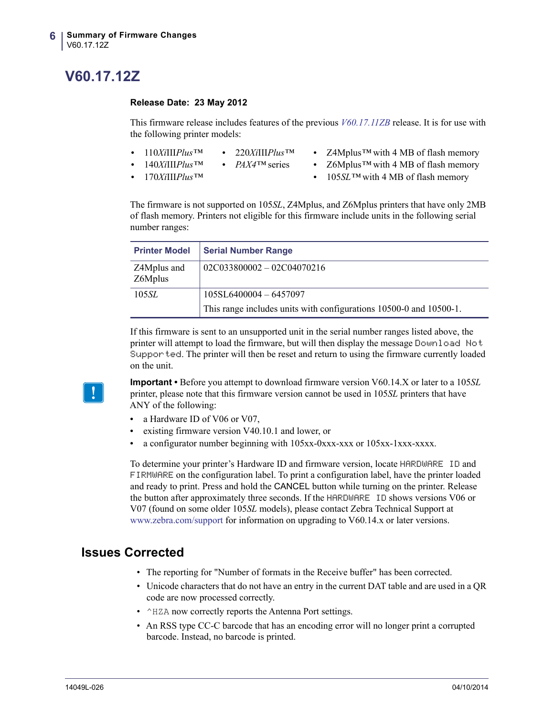## <span id="page-5-0"></span>**V60.17.12Z**

#### <span id="page-5-1"></span>**Release Date: 23 May 2012**

This firmware release includes features of the previous *[V60.17.11ZB](#page-7-0)* release. It is for use with the following printer models:

- **•** 110*Xi*III*Plus™* **•** 220*Xi*III*Plus™*
- **•** Z4Mplus*™* with 4 MB of flash memory
- **•** 140*Xi*III*Plus™*
- **•** *PAX4™* series
- **•** 170*Xi*III*Plus™*
- **•** Z6Mplus*™* with 4 MB of flash memory
- **•** 105*SL™* with 4 MB of flash memory

The firmware is not supported on 105*SL*, Z4Mplus, and Z6Mplus printers that have only 2MB of flash memory. Printers not eligible for this firmware include units in the following serial number ranges:

| <b>Printer Model</b>   | <b>Serial Number Range</b>                                         |
|------------------------|--------------------------------------------------------------------|
| Z4Mplus and<br>Z6Mplus | $02C033800002 - 02C04070216$                                       |
| 105 <i>SL</i>          | $105SL6400004 - 6457097$                                           |
|                        | This range includes units with configurations 10500-0 and 10500-1. |

If this firmware is sent to an unsupported unit in the serial number ranges listed above, the printer will attempt to load the firmware, but will then display the message Download Not Supported. The printer will then be reset and return to using the firmware currently loaded on the unit.



**Important •** Before you attempt to download firmware version V60.14.X or later to a 105*SL* printer, please note that this firmware version cannot be used in 105*SL* printers that have ANY of the following:

- a Hardware ID of V06 or V07,
- **•** existing firmware version V40.10.1 and lower, or
- **•** a configurator number beginning with 105xx-0xxx-xxx or 105xx-1xxx-xxxx.

To determine your printer's Hardware ID and firmware version, locate HARDWARE ID and FIRMWARE on the configuration label. To print a configuration label, have the printer loaded and ready to print. Press and hold the CANCEL button while turning on the printer. Release the button after approximately three seconds. If the HARDWARE ID shows versions V06 or V07 (found on some older 105*SL* models), please contact Zebra Technical Support at [www.zebra.com/support](http://www.zebra.com/support) for information on upgrading to V60.14.x or later versions.

- The reporting for "Number of formats in the Receive buffer" has been corrected.
- Unicode characters that do not have an entry in the current DAT table and are used in a QR code are now processed correctly.
- ^HZA now correctly reports the Antenna Port settings.
- An RSS type CC-C barcode that has an encoding error will no longer print a corrupted barcode. Instead, no barcode is printed.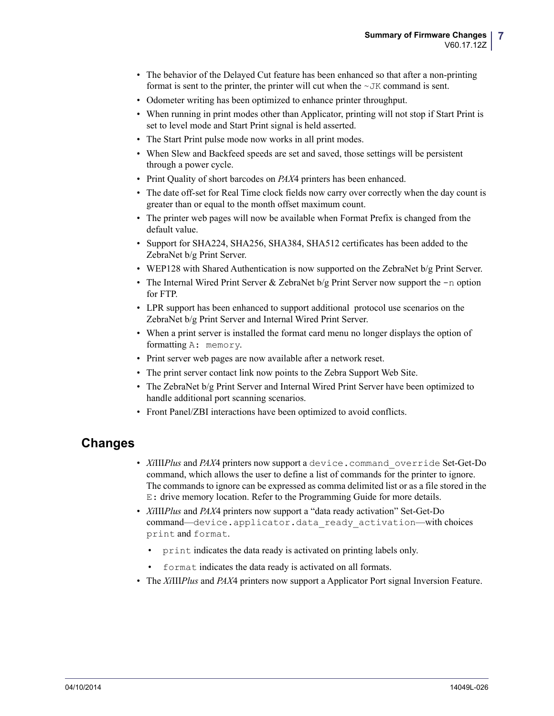- The behavior of the Delayed Cut feature has been enhanced so that after a non-printing format is sent to the printer, the printer will cut when the  $\sim$  JK command is sent.
- Odometer writing has been optimized to enhance printer throughput.
- When running in print modes other than Applicator, printing will not stop if Start Print is set to level mode and Start Print signal is held asserted.
- The Start Print pulse mode now works in all print modes.
- When Slew and Backfeed speeds are set and saved, those settings will be persistent through a power cycle.
- Print Quality of short barcodes on *PAX*4 printers has been enhanced.
- The date off-set for Real Time clock fields now carry over correctly when the day count is greater than or equal to the month offset maximum count.
- The printer web pages will now be available when Format Prefix is changed from the default value.
- Support for SHA224, SHA256, SHA384, SHA512 certificates has been added to the ZebraNet b/g Print Server.
- WEP128 with Shared Authentication is now supported on the ZebraNet b/g Print Server.
- The Internal Wired Print Server & ZebraNet b/g Print Server now support the -n option for FTP.
- LPR support has been enhanced to support additional protocol use scenarios on the ZebraNet b/g Print Server and Internal Wired Print Server.
- When a print server is installed the format card menu no longer displays the option of formatting A: memory.
- Print server web pages are now available after a network reset.
- The print server contact link now points to the Zebra Support Web Site.
- The ZebraNet b/g Print Server and Internal Wired Print Server have been optimized to handle additional port scanning scenarios.
- Front Panel/ZBI interactions have been optimized to avoid conflicts.

### **Changes**

- *Xi*III*Plus* and *PAX*4 printers now support a device.command\_override Set-Get-Do command, which allows the user to define a list of commands for the printer to ignore. The commands to ignore can be expressed as comma delimited list or as a file stored in the E: drive memory location. Refer to the Programming Guide for more details.
- *Xi*III*Plus* and *PAX*4 printers now support a "data ready activation" Set-Get-Do command—device.applicator.data\_ready\_activation—with choices print and format.
	- print indicates the data ready is activated on printing labels only.
	- format indicates the data ready is activated on all formats.
- The *Xi*III*Plus* and *PAX*4 printers now support a Applicator Port signal Inversion Feature.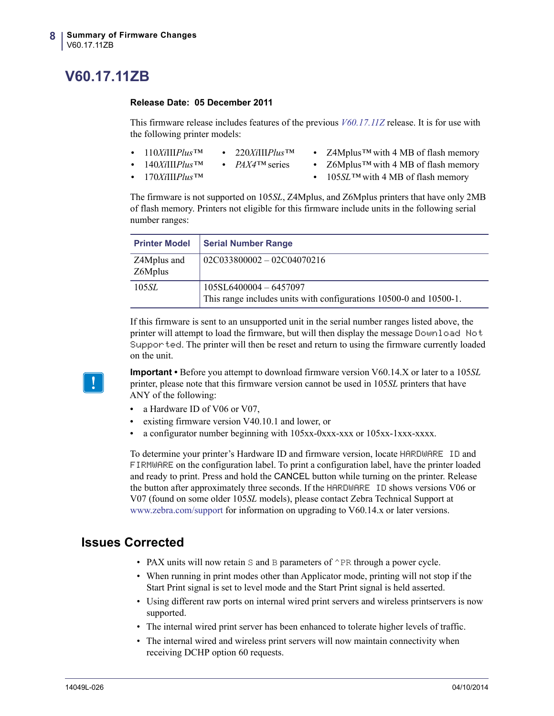## <span id="page-7-0"></span>**V60.17.11ZB**

#### <span id="page-7-1"></span>**Release Date: 05 December 2011**

This firmware release includes features of the previous *[V60.17.11Z](#page-8-0)* release. It is for use with the following printer models:

- **•** 110*Xi*III*Plus™* **•** 220*Xi*III*Plus™*
- **•** Z4Mplus*™* with 4 MB of flash memory
- **•** 140*Xi*III*Plus™*
- **•** *PAX4™* series
- **•** 170*Xi*III*Plus™*
- **•** Z6Mplus*™* with 4 MB of flash memory
- **•** 105*SL™* with 4 MB of flash memory

The firmware is not supported on 105*SL*, Z4Mplus, and Z6Mplus printers that have only 2MB of flash memory. Printers not eligible for this firmware include units in the following serial number ranges:

| <b>Printer Model</b>   | <b>Serial Number Range</b>                                                                     |
|------------------------|------------------------------------------------------------------------------------------------|
| Z4Mplus and<br>Z6Mplus | $02C033800002 - 02C04070216$                                                                   |
| 105 <i>SL</i>          | $105SL6400004 - 6457097$<br>This range includes units with configurations 10500-0 and 10500-1. |

If this firmware is sent to an unsupported unit in the serial number ranges listed above, the printer will attempt to load the firmware, but will then display the message Download Not Supported. The printer will then be reset and return to using the firmware currently loaded on the unit.



**Important •** Before you attempt to download firmware version V60.14.X or later to a 105*SL* printer, please note that this firmware version cannot be used in 105*SL* printers that have ANY of the following:

- a Hardware ID of V06 or V07,
- **•** existing firmware version V40.10.1 and lower, or
- **•** a configurator number beginning with 105xx-0xxx-xxx or 105xx-1xxx-xxxx.

To determine your printer's Hardware ID and firmware version, locate HARDWARE ID and FIRMWARE on the configuration label. To print a configuration label, have the printer loaded and ready to print. Press and hold the CANCEL button while turning on the printer. Release the button after approximately three seconds. If the HARDWARE ID shows versions V06 or V07 (found on some older 105*SL* models), please contact Zebra Technical Support at [www.zebra.com/support](http://www.zebra.com/support) for information on upgrading to V60.14.x or later versions.

- PAX units will now retain  $S$  and  $B$  parameters of  $\cap$  PR through a power cycle.
- When running in print modes other than Applicator mode, printing will not stop if the Start Print signal is set to level mode and the Start Print signal is held asserted.
- Using different raw ports on internal wired print servers and wireless printservers is now supported.
- The internal wired print server has been enhanced to tolerate higher levels of traffic.
- The internal wired and wireless print servers will now maintain connectivity when receiving DCHP option 60 requests.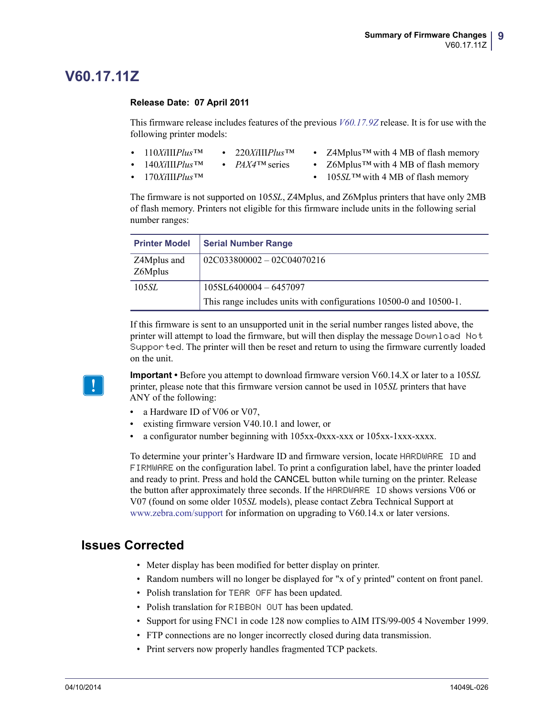### <span id="page-8-0"></span>**V60.17.11Z**

#### <span id="page-8-1"></span>**Release Date: 07 April 2011**

This firmware release includes features of the previous *[V60.17.9Z](#page-10-0)* release. It is for use with the following printer models:

- **•** 110*Xi*III*Plus™* **•** 220*Xi*III*Plus™*
- **•** Z4Mplus*™* with 4 MB of flash memory
- **•** 140*Xi*III*Plus™*
- **•** *PAX4™* series
- **•** 170*Xi*III*Plus™*
- **•** Z6Mplus*™* with 4 MB of flash memory
- **•** 105*SL™* with 4 MB of flash memory

The firmware is not supported on 105*SL*, Z4Mplus, and Z6Mplus printers that have only 2MB of flash memory. Printers not eligible for this firmware include units in the following serial number ranges:

| <b>Printer Model</b>   | <b>Serial Number Range</b>                                         |
|------------------------|--------------------------------------------------------------------|
| Z4Mplus and<br>Z6Mplus | $02C033800002 - 02C04070216$                                       |
| 105 <i>SL</i>          | $105SL6400004 - 6457097$                                           |
|                        | This range includes units with configurations 10500-0 and 10500-1. |

If this firmware is sent to an unsupported unit in the serial number ranges listed above, the printer will attempt to load the firmware, but will then display the message Download Not Supported. The printer will then be reset and return to using the firmware currently loaded on the unit.



**Important •** Before you attempt to download firmware version V60.14.X or later to a 105*SL* printer, please note that this firmware version cannot be used in 105*SL* printers that have ANY of the following:

- a Hardware ID of V06 or V07,
- **•** existing firmware version V40.10.1 and lower, or
- **•** a configurator number beginning with 105xx-0xxx-xxx or 105xx-1xxx-xxxx.

To determine your printer's Hardware ID and firmware version, locate HARDWARE ID and FIRMWARE on the configuration label. To print a configuration label, have the printer loaded and ready to print. Press and hold the CANCEL button while turning on the printer. Release the button after approximately three seconds. If the HARDWARE ID shows versions V06 or V07 (found on some older 105*SL* models), please contact Zebra Technical Support at [www.zebra.com/support](http://www.zebra.com/support) for information on upgrading to V60.14.x or later versions.

- Meter display has been modified for better display on printer.
- Random numbers will no longer be displayed for "x of y printed" content on front panel.
- Polish translation for TEAR OFF has been updated.
- Polish translation for RIBBON OUT has been updated.
- Support for using FNC1 in code 128 now complies to AIM ITS/99-005 4 November 1999.
- FTP connections are no longer incorrectly closed during data transmission.
- Print servers now properly handles fragmented TCP packets.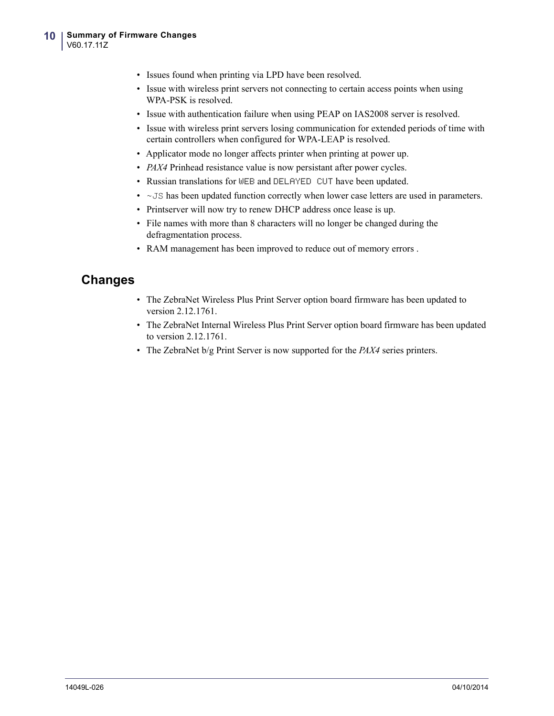- Issues found when printing via LPD have been resolved.
- Issue with wireless print servers not connecting to certain access points when using WPA-PSK is resolved.
- Issue with authentication failure when using PEAP on IAS2008 server is resolved.
- Issue with wireless print servers losing communication for extended periods of time with certain controllers when configured for WPA-LEAP is resolved.
- Applicator mode no longer affects printer when printing at power up.
- *PAX4* Prinhead resistance value is now persistant after power cycles.
- Russian translations for WEB and DELAYED CUT have been updated.
- $\sim$  JS has been updated function correctly when lower case letters are used in parameters.
- Printserver will now try to renew DHCP address once lease is up.
- File names with more than 8 characters will no longer be changed during the defragmentation process.
- RAM management has been improved to reduce out of memory errors .

### **Changes**

- The ZebraNet Wireless Plus Print Server option board firmware has been updated to version 2.12.1761.
- The ZebraNet Internal Wireless Plus Print Server option board firmware has been updated to version 2.12.1761.
- The ZebraNet b/g Print Server is now supported for the *PAX4* series printers.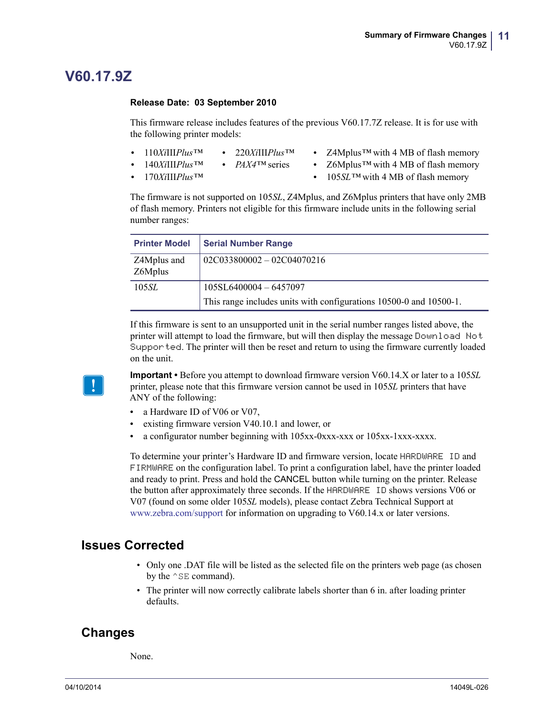### <span id="page-10-0"></span>**V60.17.9Z**

#### <span id="page-10-1"></span>**Release Date: 03 September 2010**

This firmware release includes features of the previous V60.17.7Z release. It is for use with the following printer models:

- **•** 110*Xi*III*Plus™* **•** 220*Xi*III*Plus™*
- **•** Z4Mplus*™* with 4 MB of flash memory
- **•** 140*Xi*III*Plus™*
- **•** *PAX4™* series
- **•** 170*Xi*III*Plus™*
- **•** Z6Mplus*™* with 4 MB of flash memory
- **•** 105*SL™* with 4 MB of flash memory

The firmware is not supported on 105*SL*, Z4Mplus, and Z6Mplus printers that have only 2MB of flash memory. Printers not eligible for this firmware include units in the following serial number ranges:

| <b>Printer Model</b>   | <b>Serial Number Range</b>                                         |
|------------------------|--------------------------------------------------------------------|
| Z4Mplus and<br>Z6Mplus | $02C033800002 - 02C04070216$                                       |
| 105 <i>SL</i>          | $105SL6400004 - 6457097$                                           |
|                        | This range includes units with configurations 10500-0 and 10500-1. |

If this firmware is sent to an unsupported unit in the serial number ranges listed above, the printer will attempt to load the firmware, but will then display the message Download Not Supported. The printer will then be reset and return to using the firmware currently loaded on the unit.



**Important •** Before you attempt to download firmware version V60.14.X or later to a 105*SL* printer, please note that this firmware version cannot be used in 105*SL* printers that have ANY of the following:

- a Hardware ID of V06 or V07,
- **•** existing firmware version V40.10.1 and lower, or
- **•** a configurator number beginning with 105xx-0xxx-xxx or 105xx-1xxx-xxxx.

To determine your printer's Hardware ID and firmware version, locate HARDWARE ID and FIRMWARE on the configuration label. To print a configuration label, have the printer loaded and ready to print. Press and hold the CANCEL button while turning on the printer. Release the button after approximately three seconds. If the HARDWARE ID shows versions V06 or V07 (found on some older 105*SL* models), please contact Zebra Technical Support at [www.zebra.com/support](http://www.zebra.com/support) for information on upgrading to V60.14.x or later versions.

### **Issues Corrected**

- Only one .DAT file will be listed as the selected file on the printers web page (as chosen by the  $^{\wedge}$  SE command).
- The printer will now correctly calibrate labels shorter than 6 in. after loading printer defaults.

### **Changes**

None.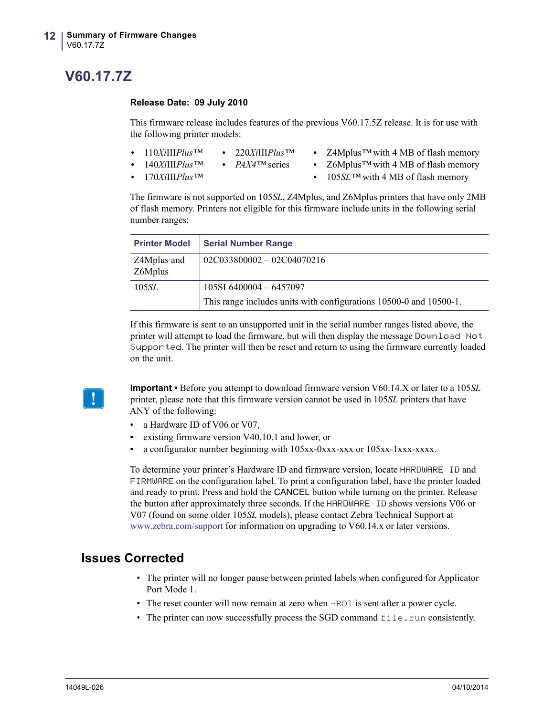## <span id="page-11-0"></span>**V60.17.7Z**

#### <span id="page-11-1"></span>**Release Date: 09 July 2010**

This firmware release includes features of the previous V60.17.5Z release. It is for use with the following printer models:

- **•** 110*Xi*III*Plus™* **•** 220*Xi*III*Plus™*
	- **•** *PAX4™* series **•** Z4Mplus*™* with 4 MB of flash memory
- **•** 140*Xi*III*Plus™*

**•** Z6Mplus*™* with 4 MB of flash memory

**•** 170*Xi*III*Plus™*

**•** 105*SL™* with 4 MB of flash memory

The firmware is not supported on 105*SL*, Z4Mplus, and Z6Mplus printers that have only 2MB of flash memory. Printers not eligible for this firmware include units in the following serial number ranges:

| <b>Printer Model</b>   | <b>Serial Number Range</b>                                         |
|------------------------|--------------------------------------------------------------------|
| Z4Mplus and<br>Z6Mplus | $02C033800002 - 02C04070216$                                       |
| 105 <i>SL</i>          | 105SL6400004-6457097                                               |
|                        | This range includes units with configurations 10500-0 and 10500-1. |

If this firmware is sent to an unsupported unit in the serial number ranges listed above, the printer will attempt to load the firmware, but will then display the message Download Not Supported. The printer will then be reset and return to using the firmware currently loaded on the unit.



**Important •** Before you attempt to download firmware version V60.14.X or later to a 105*SL* printer, please note that this firmware version cannot be used in 105*SL* printers that have ANY of the following:

- a Hardware ID of V06 or V07.
- **•** existing firmware version V40.10.1 and lower, or
- **•** a configurator number beginning with 105xx-0xxx-xxx or 105xx-1xxx-xxxx.

To determine your printer's Hardware ID and firmware version, locate HARDWARE ID and FIRMWARE on the configuration label. To print a configuration label, have the printer loaded and ready to print. Press and hold the CANCEL button while turning on the printer. Release the button after approximately three seconds. If the HARDWARE ID shows versions V06 or V07 (found on some older 105*SL* models), please contact Zebra Technical Support at [www.zebra.com/support](http://www.zebra.com/support) for information on upgrading to V60.14.x or later versions.

- The printer will no longer pause between printed labels when configured for Applicator Port Mode 1.
- The reset counter will now remain at zero when ~RO1 is sent after a power cycle.
- The printer can now successfully process the SGD command  $file$ , run consistently.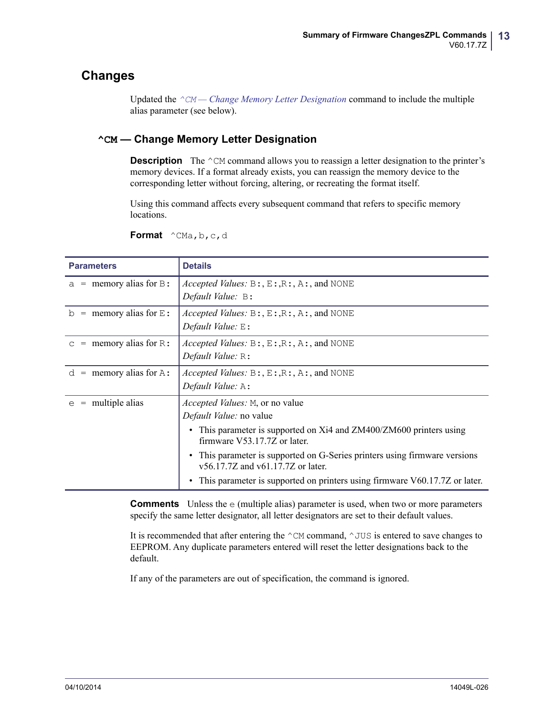### **Changes**

Updated the *^CM [— Change Memory Letter Designation](#page-12-0)* command to include the multiple alias parameter (see below).

### <span id="page-12-0"></span>**^CM — Change Memory Letter Designation**

**Description** The  $^{\wedge}$ CM command allows you to reassign a letter designation to the printer's memory devices. If a format already exists, you can reassign the memory device to the corresponding letter without forcing, altering, or recreating the format itself.

Using this command affects every subsequent command that refers to specific memory locations.

**Format** ^CMa,b,c,d

| <b>Parameters</b>                     | <b>Details</b>                                                                                                                                                                                                                                                  |
|---------------------------------------|-----------------------------------------------------------------------------------------------------------------------------------------------------------------------------------------------------------------------------------------------------------------|
| $=$ memory alias for $\overline{B}$ : | Accepted Values: $B: E: R: A:$ , and NONE                                                                                                                                                                                                                       |
| a                                     | Default Value: B:                                                                                                                                                                                                                                               |
| $=$ memory alias for $E$ :            | <i>Accepted Values:</i> $B: E: R: A:$ , $A:$ , and NONE                                                                                                                                                                                                         |
| $\mathsf{D}$                          | Default Value: E:                                                                                                                                                                                                                                               |
| memory alias for $R$ :                | <i>Accepted Values:</i> $B: E: R: A:$ , And NONE                                                                                                                                                                                                                |
| $=$                                   | Default Value: R:                                                                                                                                                                                                                                               |
| $=$ memory alias for A:               | <i>Accepted Values:</i> $B: E: R: A:$ , $A:$ , and NONE                                                                                                                                                                                                         |
| d                                     | Default Value: A:                                                                                                                                                                                                                                               |
| multiple alias<br>$=$<br>e            | <i>Accepted Values:</i> M, or no value<br>Default Value: no value<br>This parameter is supported on Xi4 and ZM400/ZM600 printers using<br>$\bullet$<br>firmware V53.17.7Z or later.<br>This parameter is supported on G-Series printers using firmware versions |
|                                       | v56.17.7Z and v61.17.7Z or later.<br>This parameter is supported on printers using firmware V60.17.7Z or later.                                                                                                                                                 |

**Comments** Unless the e (multiple alias) parameter is used, when two or more parameters specify the same letter designator, all letter designators are set to their default values.

It is recommended that after entering the  $\sim$ CM command,  $\sim$  JUS is entered to save changes to EEPROM. Any duplicate parameters entered will reset the letter designations back to the default.

If any of the parameters are out of specification, the command is ignored.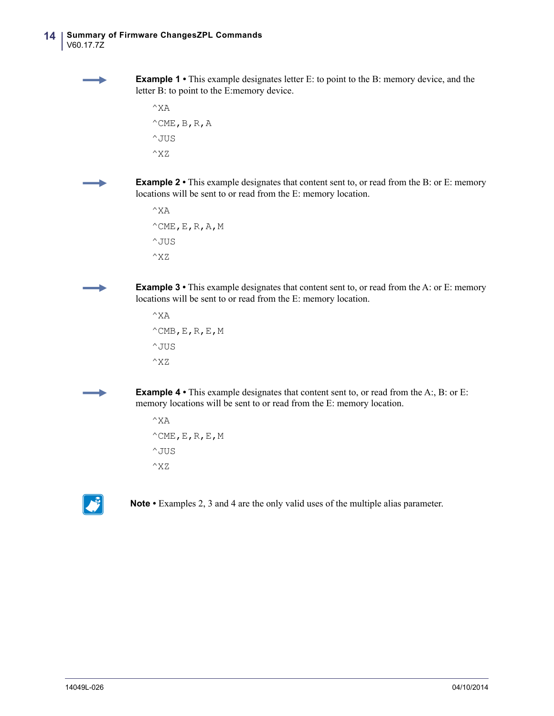**Example 1** • This example designates letter E: to point to the B: memory device, and the letter B: to point to the E:memory device.

```
^{\wedge}XA
^{\wedge}CME, B, R, A
^JUS
^{\wedge}XZ
```
**Example 2** • This example designates that content sent to, or read from the B: or E: memory locations will be sent to or read from the E: memory location.

```
^{\wedge}XA
^{\wedge}CME, E, R, A, M
^JUS
^XZ
```
**Example 3** • This example designates that content sent to, or read from the A: or E: memory locations will be sent to or read from the E: memory location.

```
^{\wedge}XA
^{\wedge}CMB, E, R, E, M
^{\wedge} JUS
^XZ
```
**Example 4** • This example designates that content sent to, or read from the A:, B: or E: memory locations will be sent to or read from the E: memory location.

```
^{\wedge}XA
^{\wedge}CME,E,R,E,M
^JUS
^XZ
```


**Note •** Examples 2, 3 and 4 are the only valid uses of the multiple alias parameter.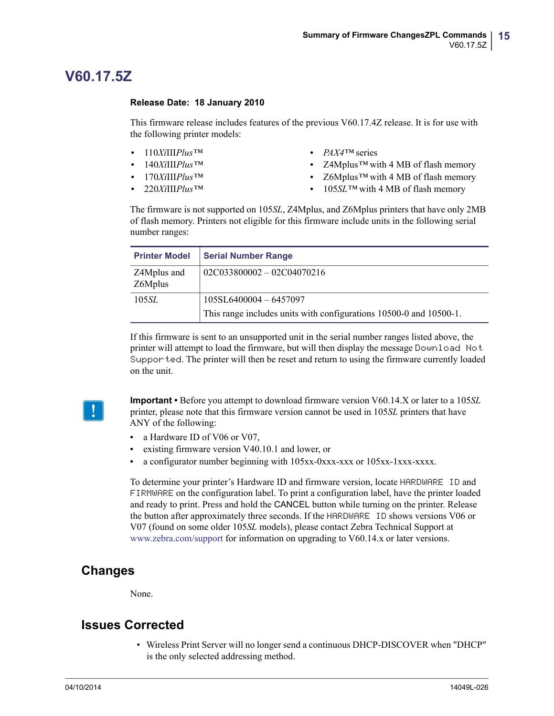### <span id="page-14-0"></span>**V60.17.5Z**

#### <span id="page-14-1"></span>**Release Date: 18 January 2010**

This firmware release includes features of the previous V60.17.4Z release. It is for use with the following printer models:

- **•** 110*Xi*III*Plus™*
- **•** 140*Xi*III*Plus™*
- **•** 170*Xi*III*Plus™*
- **•** 220*Xi*III*Plus™*
- **•** *PAX4™* series
- **•** Z4Mplus*™* with 4 MB of flash memory
- **•** Z6Mplus*™* with 4 MB of flash memory
- **•** 105*SL™* with 4 MB of flash memory

The firmware is not supported on 105*SL*, Z4Mplus, and Z6Mplus printers that have only 2MB of flash memory. Printers not eligible for this firmware include units in the following serial number ranges:

| <b>Printer Model</b>   | <b>Serial Number Range</b>                                         |
|------------------------|--------------------------------------------------------------------|
| Z4Mplus and<br>Z6Mplus | $02C033800002 - 02C04070216$                                       |
| 105 <i>SL</i>          | $105SL6400004 - 6457097$                                           |
|                        | This range includes units with configurations 10500-0 and 10500-1. |

If this firmware is sent to an unsupported unit in the serial number ranges listed above, the printer will attempt to load the firmware, but will then display the message Download Not Supported. The printer will then be reset and return to using the firmware currently loaded on the unit.



**Important •** Before you attempt to download firmware version V60.14.X or later to a 105*SL* printer, please note that this firmware version cannot be used in 105*SL* printers that have ANY of the following:

- a Hardware ID of V06 or V07,
- **•** existing firmware version V40.10.1 and lower, or
- **•** a configurator number beginning with 105xx-0xxx-xxx or 105xx-1xxx-xxxx.

To determine your printer's Hardware ID and firmware version, locate HARDWARE ID and FIRMWARE on the configuration label. To print a configuration label, have the printer loaded and ready to print. Press and hold the CANCEL button while turning on the printer. Release the button after approximately three seconds. If the HARDWARE ID shows versions V06 or V07 (found on some older 105*SL* models), please contact Zebra Technical Support at [www.zebra.com/support](http://www.zebra.com/support) for information on upgrading to V60.14.x or later versions.

### **Changes**

None.

### **Issues Corrected**

• Wireless Print Server will no longer send a continuous DHCP-DISCOVER when "DHCP" is the only selected addressing method.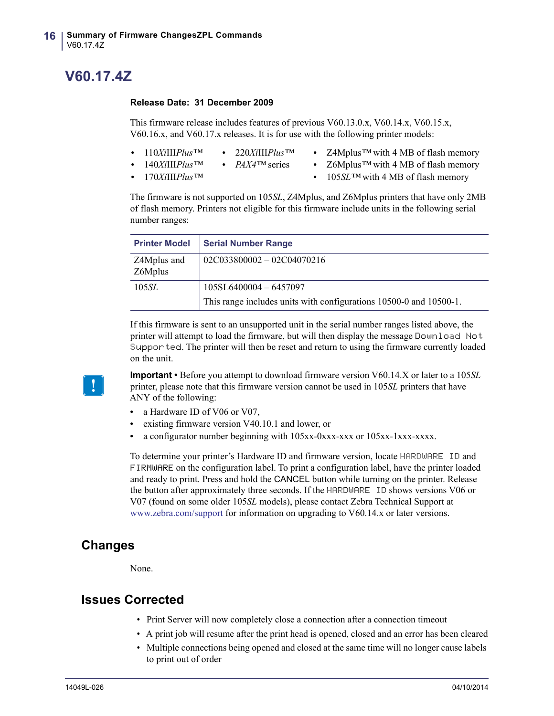### <span id="page-15-0"></span>**V60.17.4Z**

#### <span id="page-15-1"></span>**Release Date: 31 December 2009**

This firmware release includes features of previous V60.13.0.x, V60.14.x, V60.15.x, V60.16.x, and V60.17.x releases. It is for use with the following printer models:

- **•** 110*Xi*III*Plus™* **•** 220*Xi*III*Plus™*
	-
- **•** Z4Mplus*™* with 4 MB of flash memory
- **•** 140*Xi*III*Plus™* **•** *PAX4™* series
- **•** Z6Mplus*™* with 4 MB of flash memory

**•** 170*Xi*III*Plus™*

**•** 105*SL™* with 4 MB of flash memory

The firmware is not supported on 105*SL*, Z4Mplus, and Z6Mplus printers that have only 2MB of flash memory. Printers not eligible for this firmware include units in the following serial number ranges:

| <b>Printer Model</b>   | <b>Serial Number Range</b>                                         |
|------------------------|--------------------------------------------------------------------|
| Z4Mplus and<br>Z6Mplus | $02C033800002 - 02C04070216$                                       |
| 105SL                  | 105SL6400004-6457097                                               |
|                        | This range includes units with configurations 10500-0 and 10500-1. |

If this firmware is sent to an unsupported unit in the serial number ranges listed above, the printer will attempt to load the firmware, but will then display the message Download Not Supported. The printer will then be reset and return to using the firmware currently loaded on the unit.



**Important •** Before you attempt to download firmware version V60.14.X or later to a 105*SL* printer, please note that this firmware version cannot be used in 105*SL* printers that have ANY of the following:

- a Hardware ID of V06 or V07,
- **•** existing firmware version V40.10.1 and lower, or
- **•** a configurator number beginning with 105xx-0xxx-xxx or 105xx-1xxx-xxxx.

To determine your printer's Hardware ID and firmware version, locate HARDWARE ID and FIRMWARE on the configuration label. To print a configuration label, have the printer loaded and ready to print. Press and hold the CANCEL button while turning on the printer. Release the button after approximately three seconds. If the HARDWARE ID shows versions V06 or V07 (found on some older 105*SL* models), please contact Zebra Technical Support at [www.zebra.com/support](http://www.zebra.com/support) for information on upgrading to V60.14.x or later versions.

### **Changes**

None.

- Print Server will now completely close a connection after a connection timeout
- A print job will resume after the print head is opened, closed and an error has been cleared
- Multiple connections being opened and closed at the same time will no longer cause labels to print out of order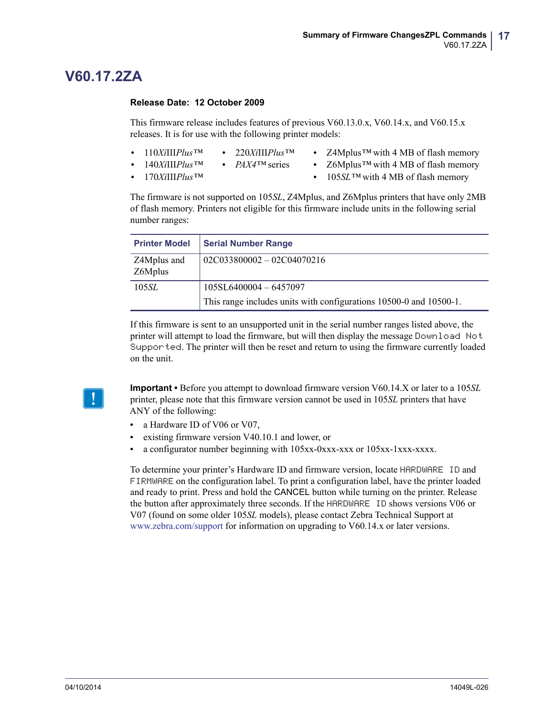### <span id="page-16-0"></span>**V60.17.2ZA**

#### <span id="page-16-1"></span>**Release Date: 12 October 2009**

This firmware release includes features of previous V60.13.0.x, V60.14.x, and V60.15.x releases. It is for use with the following printer models:

- **•** 110*Xi*III*Plus™* **•** 220*Xi*III*Plus™*
	- - **•** Z4Mplus*™* with 4 MB of flash memory
- **•** 140*Xi*III*Plus™*
- **•** *PAX4™* series
- **•** 170*Xi*III*Plus™*
- **•** Z6Mplus*™* with 4 MB of flash memory
- **•** 105*SL™* with 4 MB of flash memory

The firmware is not supported on 105*SL*, Z4Mplus, and Z6Mplus printers that have only 2MB of flash memory. Printers not eligible for this firmware include units in the following serial number ranges:

| <b>Printer Model</b>   | <b>Serial Number Range</b>                                         |
|------------------------|--------------------------------------------------------------------|
| Z4Mplus and<br>Z6Mplus | $02C033800002 - 02C04070216$                                       |
| 105SL                  | $105SL6400004 - 6457097$                                           |
|                        | This range includes units with configurations 10500-0 and 10500-1. |

If this firmware is sent to an unsupported unit in the serial number ranges listed above, the printer will attempt to load the firmware, but will then display the message Download Not Supported. The printer will then be reset and return to using the firmware currently loaded on the unit.

**Important •** Before you attempt to download firmware version V60.14.X or later to a 105*SL* printer, please note that this firmware version cannot be used in 105*SL* printers that have ANY of the following:

- a Hardware ID of V06 or V07.
- **•** existing firmware version V40.10.1 and lower, or
- **•** a configurator number beginning with 105xx-0xxx-xxx or 105xx-1xxx-xxxx.

To determine your printer's Hardware ID and firmware version, locate HARDWARE ID and FIRMWARE on the configuration label. To print a configuration label, have the printer loaded and ready to print. Press and hold the CANCEL button while turning on the printer. Release the button after approximately three seconds. If the HARDWARE ID shows versions V06 or V07 (found on some older 105*SL* models), please contact Zebra Technical Support at [www.zebra.com/support](http://www.zebra.com/support) for information on upgrading to V60.14.x or later versions.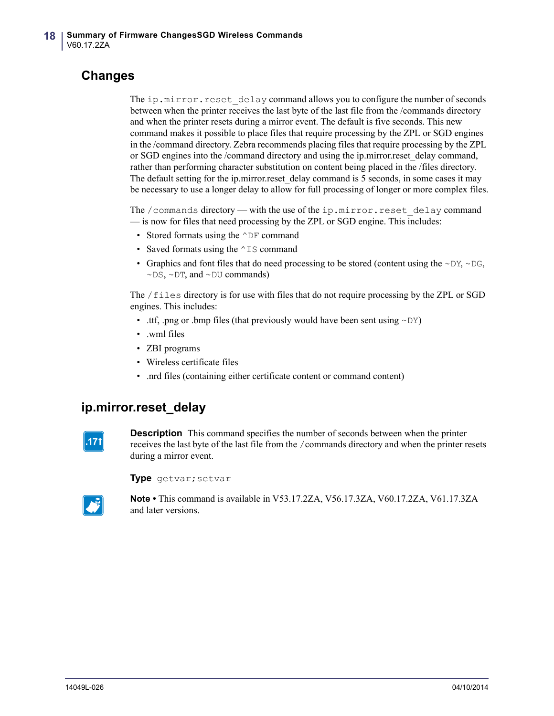### **Changes**

The ip.mirror.reset delay command allows you to configure the number of seconds between when the printer receives the last byte of the last file from the /commands directory and when the printer resets during a mirror event. The default is five seconds. This new command makes it possible to place files that require processing by the ZPL or SGD engines in the /command directory. Zebra recommends placing files that require processing by the ZPL or SGD engines into the /command directory and using the ip.mirror.reset\_delay command, rather than performing character substitution on content being placed in the /files directory. The default setting for the ip.mirror.reset delay command is 5 seconds, in some cases it may be necessary to use a longer delay to allow for full processing of longer or more complex files.

The /commands directory — with the use of the ip.mirror.reset\_delay command — is now for files that need processing by the ZPL or SGD engine. This includes:

- Stored formats using the  $\wedge$ DF command
- Saved formats using the  $\sim$ IS command
- Graphics and font files that do need processing to be stored (content using the  $\sim$ DY,  $\sim$ DG,  $\sim$ DS,  $\sim$ DT, and  $\sim$ DU commands)

The /files directory is for use with files that do not require processing by the ZPL or SGD engines. This includes:

- .ttf, .png or .bmp files (that previously would have been sent using  $\sim DY$ )
- .wml files
- ZBI programs
- Wireless certificate files
- .nrd files (containing either certificate content or command content)

### **ip.mirror.reset\_delay**



**Description** This command specifies the number of seconds between when the printer receives the last byte of the last file from the /commands directory and when the printer resets during a mirror event.

**Type** getvar;setvar



**Note •** This command is available in V53.17.2ZA, V56.17.3ZA, V60.17.2ZA, V61.17.3ZA and later versions.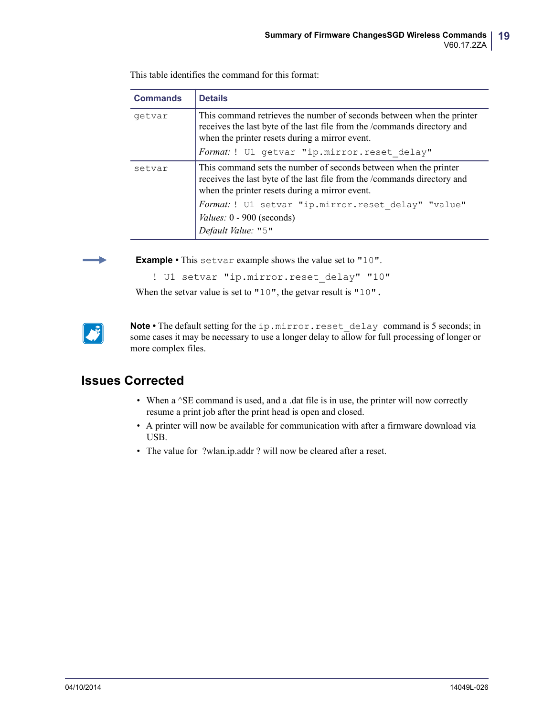| <b>Commands</b> | <b>Details</b>                                                                                                                                                                                      |  |  |  |
|-----------------|-----------------------------------------------------------------------------------------------------------------------------------------------------------------------------------------------------|--|--|--|
| getvar          | This command retrieves the number of seconds between when the printer<br>receives the last byte of the last file from the /commands directory and<br>when the printer resets during a mirror event. |  |  |  |
|                 | Format: ! U1 getvar "ip.mirror.reset delay"                                                                                                                                                         |  |  |  |
| setvar          | This command sets the number of seconds between when the printer<br>receives the last byte of the last file from the /commands directory and<br>when the printer resets during a mirror event.      |  |  |  |
|                 | Format: ! U1 setvar "ip.mirror.reset delay" "value"                                                                                                                                                 |  |  |  |
|                 | Values: 0 - 900 (seconds)                                                                                                                                                                           |  |  |  |
|                 | Default Value: "5"                                                                                                                                                                                  |  |  |  |

This table identifies the command for this format:



**Example •** This setvar example shows the value set to "10".

```
! U1 setvar "ip.mirror.reset delay" "10"
```
When the setvar value is set to "10", the getvar result is "10".



Note • The default setting for the ip.mirror.reset delay command is 5 seconds; in some cases it may be necessary to use a longer delay to allow for full processing of longer or more complex files.

- When a  $^{\wedge}$ SE command is used, and a .dat file is in use, the printer will now correctly resume a print job after the print head is open and closed.
- A printer will now be available for communication with after a firmware download via USB.
- The value for ?wlan.ip.addr ? will now be cleared after a reset.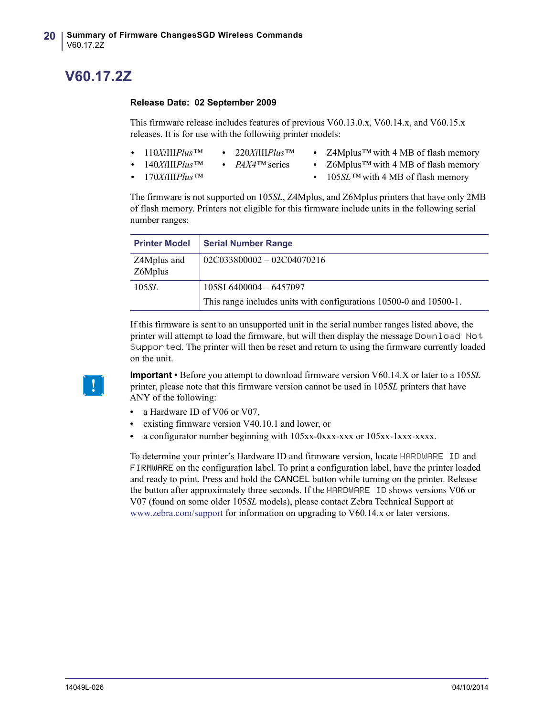## <span id="page-19-0"></span>**V60.17.2Z**

#### <span id="page-19-1"></span>**Release Date: 02 September 2009**

This firmware release includes features of previous V60.13.0.x, V60.14.x, and V60.15.x releases. It is for use with the following printer models:

- **•** 110*Xi*III*Plus™* **•** 220*Xi*III*Plus™*
- **•** Z4Mplus*™* with 4 MB of flash memory
- **•** 140*Xi*III*Plus™*
- **•** *PAX4™* series
- **•** 170*Xi*III*Plus™*
- **•** Z6Mplus*™* with 4 MB of flash memory
- **•** 105*SL™* with 4 MB of flash memory

The firmware is not supported on 105*SL*, Z4Mplus, and Z6Mplus printers that have only 2MB of flash memory. Printers not eligible for this firmware include units in the following serial number ranges:

| <b>Printer Model</b>   | <b>Serial Number Range</b>                                         |
|------------------------|--------------------------------------------------------------------|
| Z4Mplus and<br>Z6Mplus | $02C033800002 - 02C04070216$                                       |
| 105 <i>SL</i>          | 105SL6400004-6457097                                               |
|                        | This range includes units with configurations 10500-0 and 10500-1. |

If this firmware is sent to an unsupported unit in the serial number ranges listed above, the printer will attempt to load the firmware, but will then display the message Download Not Supported. The printer will then be reset and return to using the firmware currently loaded on the unit.



**Important •** Before you attempt to download firmware version V60.14.X or later to a 105*SL* printer, please note that this firmware version cannot be used in 105*SL* printers that have ANY of the following:

- **•** a Hardware ID of V06 or V07,
- **•** existing firmware version V40.10.1 and lower, or
- **•** a configurator number beginning with 105xx-0xxx-xxx or 105xx-1xxx-xxxx.

To determine your printer's Hardware ID and firmware version, locate HARDWARE ID and FIRMWARE on the configuration label. To print a configuration label, have the printer loaded and ready to print. Press and hold the CANCEL button while turning on the printer. Release the button after approximately three seconds. If the HARDWARE ID shows versions V06 or V07 (found on some older 105*SL* models), please contact Zebra Technical Support at [www.zebra.com/support](http://www.zebra.com/support) for information on upgrading to V60.14.x or later versions.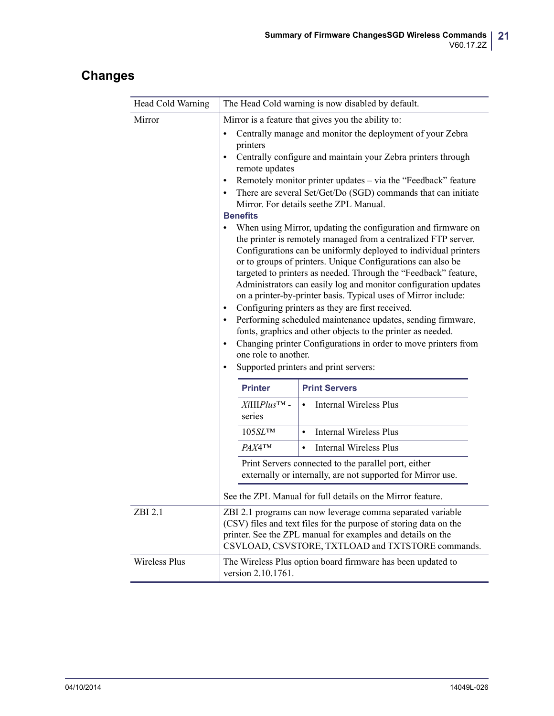### **Changes**

| Head Cold Warning    | The Head Cold warning is now disabled by default.                                                                                                                                                                                                                                                                                                                                                                                                                                                                                                                                                                                            |                                                                                                                                                                                                                                                                                                                                                                                                                                                                                                             |  |  |  |
|----------------------|----------------------------------------------------------------------------------------------------------------------------------------------------------------------------------------------------------------------------------------------------------------------------------------------------------------------------------------------------------------------------------------------------------------------------------------------------------------------------------------------------------------------------------------------------------------------------------------------------------------------------------------------|-------------------------------------------------------------------------------------------------------------------------------------------------------------------------------------------------------------------------------------------------------------------------------------------------------------------------------------------------------------------------------------------------------------------------------------------------------------------------------------------------------------|--|--|--|
| Mirror               | Mirror is a feature that gives you the ability to:                                                                                                                                                                                                                                                                                                                                                                                                                                                                                                                                                                                           |                                                                                                                                                                                                                                                                                                                                                                                                                                                                                                             |  |  |  |
|                      | ٠<br>printers<br>$\bullet$<br>remote updates<br>$\bullet$<br>$\bullet$<br><b>Benefits</b>                                                                                                                                                                                                                                                                                                                                                                                                                                                                                                                                                    | Centrally manage and monitor the deployment of your Zebra<br>Centrally configure and maintain your Zebra printers through<br>Remotely monitor printer updates – via the "Feedback" feature<br>There are several Set/Get/Do (SGD) commands that can initiate<br>Mirror. For details seethe ZPL Manual.<br>When using Mirror, updating the configuration and firmware on<br>the printer is remotely managed from a centralized FTP server.<br>Configurations can be uniformly deployed to individual printers |  |  |  |
|                      | or to groups of printers. Unique Configurations can also be<br>targeted to printers as needed. Through the "Feedback" feature,<br>Administrators can easily log and monitor configuration updates<br>on a printer-by-printer basis. Typical uses of Mirror include:<br>Configuring printers as they are first received.<br>$\bullet$<br>Performing scheduled maintenance updates, sending firmware,<br>$\bullet$<br>fonts, graphics and other objects to the printer as needed.<br>Changing printer Configurations in order to move printers from<br>$\bullet$<br>one role to another.<br>Supported printers and print servers:<br>$\bullet$ |                                                                                                                                                                                                                                                                                                                                                                                                                                                                                                             |  |  |  |
|                      | <b>Printer</b>                                                                                                                                                                                                                                                                                                                                                                                                                                                                                                                                                                                                                               | <b>Print Servers</b>                                                                                                                                                                                                                                                                                                                                                                                                                                                                                        |  |  |  |
|                      | $XiIPlus^{TM}$ -<br>series                                                                                                                                                                                                                                                                                                                                                                                                                                                                                                                                                                                                                   | <b>Internal Wireless Plus</b><br>$\bullet$                                                                                                                                                                                                                                                                                                                                                                                                                                                                  |  |  |  |
|                      | 105 SL <sup>TM</sup>                                                                                                                                                                                                                                                                                                                                                                                                                                                                                                                                                                                                                         | <b>Internal Wireless Plus</b><br>$\bullet$                                                                                                                                                                                                                                                                                                                                                                                                                                                                  |  |  |  |
|                      | <b>РАХ4ТМ</b>                                                                                                                                                                                                                                                                                                                                                                                                                                                                                                                                                                                                                                | <b>Internal Wireless Plus</b><br>$\bullet$                                                                                                                                                                                                                                                                                                                                                                                                                                                                  |  |  |  |
|                      | Print Servers connected to the parallel port, either<br>externally or internally, are not supported for Mirror use.                                                                                                                                                                                                                                                                                                                                                                                                                                                                                                                          |                                                                                                                                                                                                                                                                                                                                                                                                                                                                                                             |  |  |  |
|                      | See the ZPL Manual for full details on the Mirror feature                                                                                                                                                                                                                                                                                                                                                                                                                                                                                                                                                                                    |                                                                                                                                                                                                                                                                                                                                                                                                                                                                                                             |  |  |  |
| ZBI 2.1              | ZBI 2.1 programs can now leverage comma separated variable<br>(CSV) files and text files for the purpose of storing data on the<br>printer. See the ZPL manual for examples and details on the<br>CSVLOAD, CSVSTORE, TXTLOAD and TXTSTORE commands.                                                                                                                                                                                                                                                                                                                                                                                          |                                                                                                                                                                                                                                                                                                                                                                                                                                                                                                             |  |  |  |
| <b>Wireless Plus</b> | The Wireless Plus option board firmware has been updated to<br>version 2.10.1761.                                                                                                                                                                                                                                                                                                                                                                                                                                                                                                                                                            |                                                                                                                                                                                                                                                                                                                                                                                                                                                                                                             |  |  |  |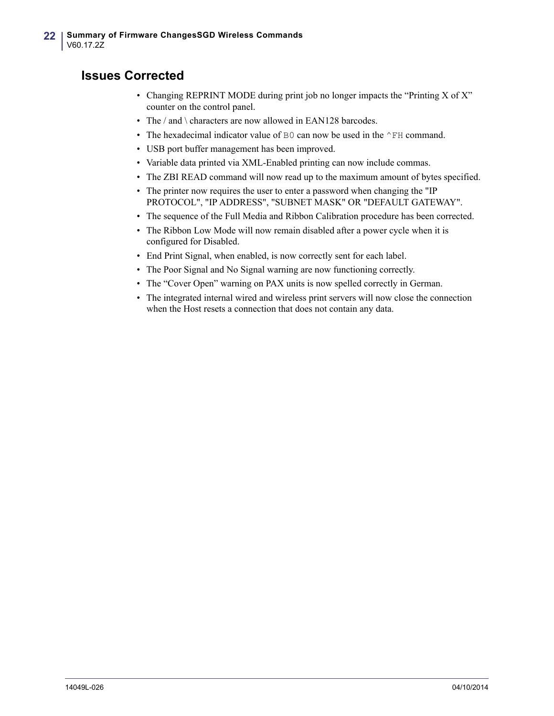- Changing REPRINT MODE during print job no longer impacts the "Printing X of X" counter on the control panel.
- The / and \ characters are now allowed in EAN128 barcodes.
- The hexadecimal indicator value of B0 can now be used in the  $\sim$ FH command.
- USB port buffer management has been improved.
- Variable data printed via XML-Enabled printing can now include commas.
- The ZBI READ command will now read up to the maximum amount of bytes specified.
- The printer now requires the user to enter a password when changing the "IP PROTOCOL", "IP ADDRESS", "SUBNET MASK" OR "DEFAULT GATEWAY".
- The sequence of the Full Media and Ribbon Calibration procedure has been corrected.
- The Ribbon Low Mode will now remain disabled after a power cycle when it is configured for Disabled.
- End Print Signal, when enabled, is now correctly sent for each label.
- The Poor Signal and No Signal warning are now functioning correctly.
- The "Cover Open" warning on PAX units is now spelled correctly in German.
- The integrated internal wired and wireless print servers will now close the connection when the Host resets a connection that does not contain any data.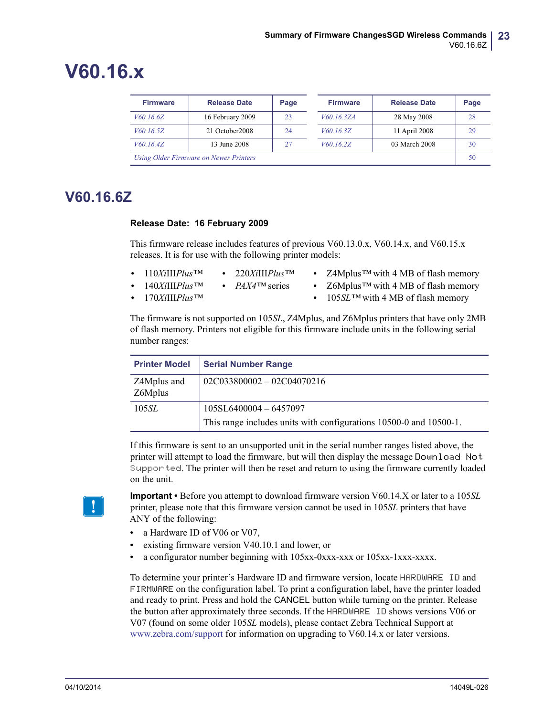# <span id="page-22-0"></span>**V60.16.x**

| <b>Firmware</b>                        | <b>Release Date</b> | Page |  | <b>Firmware</b> | <b>Release Date</b> | Page |
|----------------------------------------|---------------------|------|--|-----------------|---------------------|------|
| <i>V60.16.6Z</i>                       | 16 February 2009    | 23   |  | V60.16.3ZA      | 28 May 2008         | 28   |
| V60.16.5Z                              | 21 October 2008     | 24   |  | V60.16.3Z       | 11 April 2008       | 29   |
| V60.16.4Z                              | 13 June 2008        | 27   |  | V60.16.2Z       | 03 March 2008       | 30   |
| Using Older Firmware on Newer Printers |                     |      |  |                 | 50                  |      |

### <span id="page-22-1"></span>**V60.16.6Z**

#### <span id="page-22-2"></span>**Release Date: 16 February 2009**

This firmware release includes features of previous V60.13.0.x, V60.14.x, and V60.15.x releases. It is for use with the following printer models:

- **•** 110*Xi*III*Plus™* **•** 220*Xi*III*Plus™*
	-
- **•** Z4Mplus*™* with 4 MB of flash memory
- **•** 140*Xi*III*Plus™*
- **•** *PAX4™* series
- **•** 170*Xi*III*Plus™*
- **•** Z6Mplus*™* with 4 MB of flash memory
- **•** 105*SL™* with 4 MB of flash memory

The firmware is not supported on 105*SL*, Z4Mplus, and Z6Mplus printers that have only 2MB of flash memory. Printers not eligible for this firmware include units in the following serial number ranges:

| <b>Printer Model</b>   | <b>Serial Number Range</b>                                                                     |
|------------------------|------------------------------------------------------------------------------------------------|
| Z4Mplus and<br>Z6Mplus | $02C033800002 - 02C04070216$                                                                   |
| 105 <i>SL</i>          | $105SL6400004 - 6457097$<br>This range includes units with configurations 10500-0 and 10500-1. |

If this firmware is sent to an unsupported unit in the serial number ranges listed above, the printer will attempt to load the firmware, but will then display the message Download Not Supported. The printer will then be reset and return to using the firmware currently loaded on the unit.



**Important •** Before you attempt to download firmware version V60.14.X or later to a 105*SL* printer, please note that this firmware version cannot be used in 105*SL* printers that have ANY of the following:

- a Hardware ID of V06 or V07,
- **•** existing firmware version V40.10.1 and lower, or
- **•** a configurator number beginning with 105xx-0xxx-xxx or 105xx-1xxx-xxxx.

To determine your printer's Hardware ID and firmware version, locate HARDWARE ID and FIRMWARE on the configuration label. To print a configuration label, have the printer loaded and ready to print. Press and hold the CANCEL button while turning on the printer. Release the button after approximately three seconds. If the HARDWARE ID shows versions V06 or V07 (found on some older 105*SL* models), please contact Zebra Technical Support at [www.zebra.com/support](http://www.zebra.com/support) for information on upgrading to V60.14.x or later versions.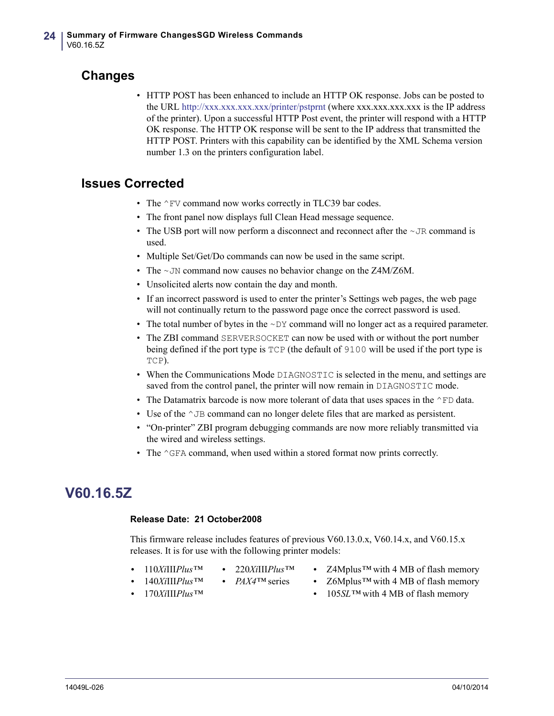### **Changes**

• HTTP POST has been enhanced to include an HTTP OK response. Jobs can be posted to the URL<http://xxx.xxx.xxx.xxx/printer/pstprnt> (where xxx.xxx.xxx.xxx is the IP address of the printer). Upon a successful HTTP Post event, the printer will respond with a HTTP OK response. The HTTP OK response will be sent to the IP address that transmitted the HTTP POST. Printers with this capability can be identified by the XML Schema version number 1.3 on the printers configuration label.

### **Issues Corrected**

- The  $\textdegree$ FV command now works correctly in TLC39 bar codes.
- The front panel now displays full Clean Head message sequence.
- The USB port will now perform a disconnect and reconnect after the  $\sim$  JR command is used.
- Multiple Set/Get/Do commands can now be used in the same script.
- The ~JN command now causes no behavior change on the Z4M/Z6M.
- Unsolicited alerts now contain the day and month.
- If an incorrect password is used to enter the printer's Settings web pages, the web page will not continually return to the password page once the correct password is used.
- The total number of bytes in the  $\sim$ DY command will no longer act as a required parameter.
- The ZBI command SERVERSOCKET can now be used with or without the port number being defined if the port type is TCP (the default of 9100 will be used if the port type is TCP).
- When the Communications Mode DIAGNOSTIC is selected in the menu, and settings are saved from the control panel, the printer will now remain in DIAGNOSTIC mode.
- The Datamatrix barcode is now more tolerant of data that uses spaces in the  $\sim$ FD data.
- Use of the  $\gamma$ JB command can no longer delete files that are marked as persistent.
- "On-printer" ZBI program debugging commands are now more reliably transmitted via the wired and wireless settings.
- The  $\gamma$ GFA command, when used within a stored format now prints correctly.

### <span id="page-23-0"></span>**V60.16.5Z**

#### <span id="page-23-1"></span>**Release Date: 21 October2008**

This firmware release includes features of previous V60.13.0.x, V60.14.x, and V60.15.x releases. It is for use with the following printer models:

- **•** 110*Xi*III*Plus™*
- **•** 220*Xi*III*Plus™*
- **•** Z4Mplus*™* with 4 MB of flash memory
- **•** 140*Xi*III*Plus™*
- **•** *PAX4™* series
	- **•** Z6Mplus*™* with 4 MB of flash memory

**•** 170*Xi*III*Plus™*

**•** 105*SL™* with 4 MB of flash memory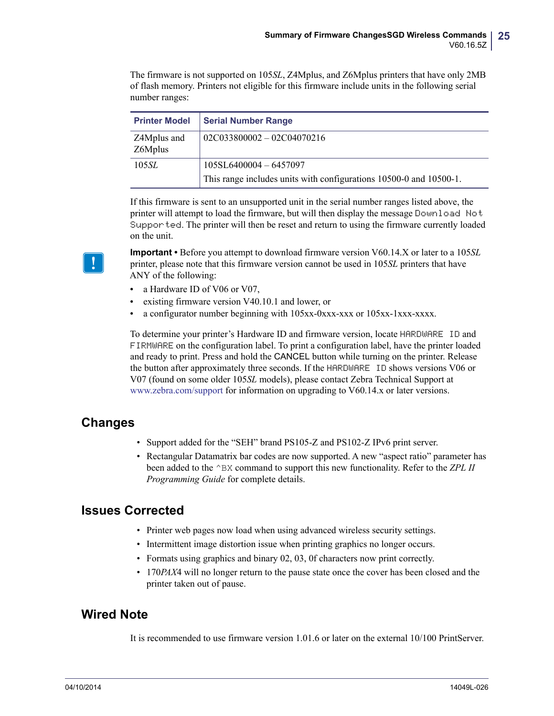The firmware is not supported on 105*SL*, Z4Mplus, and Z6Mplus printers that have only 2MB of flash memory. Printers not eligible for this firmware include units in the following serial number ranges:

| <b>Printer Model</b>   | <b>Serial Number Range</b>                                         |
|------------------------|--------------------------------------------------------------------|
| Z4Mplus and<br>Z6Mplus | $02C033800002 - 02C04070216$                                       |
| 105 <i>SL</i>          | 105SL6400004 - 6457097                                             |
|                        | This range includes units with configurations 10500-0 and 10500-1. |

If this firmware is sent to an unsupported unit in the serial number ranges listed above, the printer will attempt to load the firmware, but will then display the message Download Not Supported. The printer will then be reset and return to using the firmware currently loaded on the unit.

**Important •** Before you attempt to download firmware version V60.14.X or later to a 105*SL* printer, please note that this firmware version cannot be used in 105*SL* printers that have ANY of the following:

- a Hardware ID of V06 or V07,
- **•** existing firmware version V40.10.1 and lower, or
- **•** a configurator number beginning with 105xx-0xxx-xxx or 105xx-1xxx-xxxx.

To determine your printer's Hardware ID and firmware version, locate HARDWARE ID and FIRMWARE on the configuration label. To print a configuration label, have the printer loaded and ready to print. Press and hold the CANCEL button while turning on the printer. Release the button after approximately three seconds. If the HARDWARE ID shows versions V06 or V07 (found on some older 105*SL* models), please contact Zebra Technical Support at [www.zebra.com/support](http://www.zebra.com/support) for information on upgrading to V60.14.x or later versions.

### **Changes**

- Support added for the "SEH" brand PS105-Z and PS102-Z IPv6 print server.
- Rectangular Datamatrix bar codes are now supported. A new "aspect ratio" parameter has been added to the ^BX command to support this new functionality. Refer to the *ZPL II Programming Guide* for complete details.

### **Issues Corrected**

- Printer web pages now load when using advanced wireless security settings.
- Intermittent image distortion issue when printing graphics no longer occurs.
- Formats using graphics and binary 02, 03, 0f characters now print correctly.
- 170*PAX*4 will no longer return to the pause state once the cover has been closed and the printer taken out of pause.

### **Wired Note**

It is recommended to use firmware version 1.01.6 or later on the external 10/100 PrintServer.

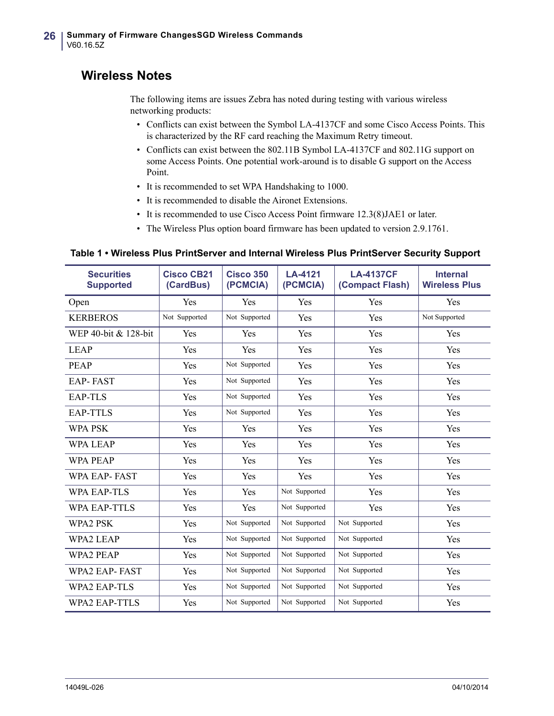### **Wireless Notes**

The following items are issues Zebra has noted during testing with various wireless networking products:

- Conflicts can exist between the Symbol LA-4137CF and some Cisco Access Points. This is characterized by the RF card reaching the Maximum Retry timeout.
- Conflicts can exist between the 802.11B Symbol LA-4137CF and 802.11G support on some Access Points. One potential work-around is to disable G support on the Access Point.
- It is recommended to set WPA Handshaking to 1000.
- It is recommended to disable the Aironet Extensions.
- It is recommended to use Cisco Access Point firmware 12.3(8)JAE1 or later.
- The Wireless Plus option board firmware has been updated to version 2.9.1761.

#### **Table 1 • Wireless Plus PrintServer and Internal Wireless Plus PrintServer Security Support**

| <b>Securities</b><br><b>Supported</b> | <b>Cisco CB21</b><br>(CardBus) | <b>Cisco 350</b><br>(PCMCIA) | LA-4121<br>(PCMCIA) | <b>LA-4137CF</b><br>(Compact Flash) | <b>Internal</b><br><b>Wireless Plus</b> |
|---------------------------------------|--------------------------------|------------------------------|---------------------|-------------------------------------|-----------------------------------------|
| Open                                  | Yes                            | Yes                          | Yes                 | Yes                                 | Yes                                     |
| <b>KERBEROS</b>                       | Not Supported                  | Not Supported                | Yes                 | Yes                                 | Not Supported                           |
| WEP 40-bit & 128-bit                  | Yes                            | <b>Yes</b>                   | Yes                 | Yes                                 | Yes                                     |
| <b>LEAP</b>                           | Yes                            | <b>Yes</b>                   | Yes                 | Yes                                 | Yes                                     |
| <b>PEAP</b>                           | Yes                            | Not Supported                | Yes                 | Yes                                 | Yes                                     |
| <b>EAP-FAST</b>                       | Yes                            | Not Supported                | Yes                 | Yes                                 | Yes                                     |
| <b>EAP-TLS</b>                        | Yes                            | Not Supported                | Yes                 | Yes                                 | Yes                                     |
| <b>EAP-TTLS</b>                       | Yes                            | Not Supported                | Yes                 | Yes                                 | Yes                                     |
| <b>WPA PSK</b>                        | Yes                            | Yes                          | Yes                 | Yes                                 | Yes                                     |
| <b>WPA LEAP</b>                       | Yes                            | Yes                          | Yes                 | Yes                                 | Yes                                     |
| <b>WPA PEAP</b>                       | Yes                            | Yes                          | Yes                 | Yes                                 | Yes                                     |
| <b>WPA EAP-FAST</b>                   | Yes                            | Yes                          | Yes                 | Yes                                 | Yes                                     |
| <b>WPA EAP-TLS</b>                    | Yes                            | <b>Yes</b>                   | Not Supported       | Yes                                 | Yes                                     |
| <b>WPA EAP-TTLS</b>                   | Yes                            | Yes                          | Not Supported       | Yes                                 | Yes                                     |
| WPA2 PSK                              | Yes                            | Not Supported                | Not Supported       | Not Supported                       | Yes                                     |
| <b>WPA2 LEAP</b>                      | Yes                            | Not Supported                | Not Supported       | Not Supported                       | Yes                                     |
| <b>WPA2 PEAP</b>                      | Yes                            | Not Supported                | Not Supported       | Not Supported                       | Yes                                     |
| <b>WPA2 EAP-FAST</b>                  | Yes                            | Not Supported                | Not Supported       | Not Supported                       | Yes                                     |
| <b>WPA2 EAP-TLS</b>                   | Yes                            | Not Supported                | Not Supported       | Not Supported                       | Yes                                     |
| <b>WPA2 EAP-TTLS</b>                  | Yes                            | Not Supported                | Not Supported       | Not Supported                       | Yes                                     |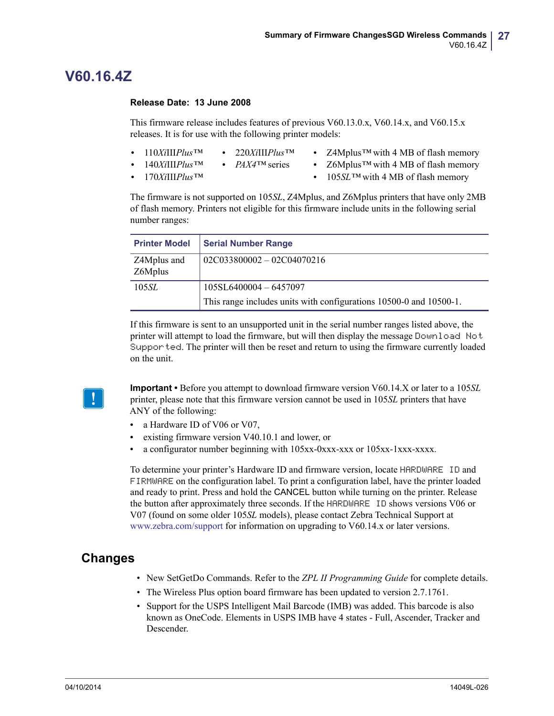### <span id="page-26-0"></span>**V60.16.4Z**

#### <span id="page-26-1"></span>**Release Date: 13 June 2008**

This firmware release includes features of previous V60.13.0.x, V60.14.x, and V60.15.x releases. It is for use with the following printer models:

- **•** 110*Xi*III*Plus™* **•** 220*Xi*III*Plus™*
	- - **•** Z4Mplus*™* with 4 MB of flash memory
- **•** 140*Xi*III*Plus™*
- **•** *PAX4™* series
- **•** 170*Xi*III*Plus™*
- **•** Z6Mplus*™* with 4 MB of flash memory
- **•** 105*SL™* with 4 MB of flash memory

The firmware is not supported on 105*SL*, Z4Mplus, and Z6Mplus printers that have only 2MB of flash memory. Printers not eligible for this firmware include units in the following serial number ranges:

| <b>Printer Model</b>   | <b>Serial Number Range</b>                                         |
|------------------------|--------------------------------------------------------------------|
| Z4Mplus and<br>Z6Mplus | $02C033800002 - 02C04070216$                                       |
| 105SL                  | 105SL6400004-6457097                                               |
|                        | This range includes units with configurations 10500-0 and 10500-1. |

If this firmware is sent to an unsupported unit in the serial number ranges listed above, the printer will attempt to load the firmware, but will then display the message Download Not Supported. The printer will then be reset and return to using the firmware currently loaded on the unit.

**Important •** Before you attempt to download firmware version V60.14.X or later to a 105*SL* printer, please note that this firmware version cannot be used in 105*SL* printers that have ANY of the following:

- a Hardware ID of V06 or V07.
- **•** existing firmware version V40.10.1 and lower, or
- **•** a configurator number beginning with 105xx-0xxx-xxx or 105xx-1xxx-xxxx.

To determine your printer's Hardware ID and firmware version, locate HARDWARE ID and FIRMWARE on the configuration label. To print a configuration label, have the printer loaded and ready to print. Press and hold the CANCEL button while turning on the printer. Release the button after approximately three seconds. If the HARDWARE ID shows versions V06 or V07 (found on some older 105*SL* models), please contact Zebra Technical Support at [www.zebra.com/support](http://www.zebra.com/support) for information on upgrading to V60.14.x or later versions.

### **Changes**

- New SetGetDo Commands. Refer to the *ZPL II Programming Guide* for complete details.
- The Wireless Plus option board firmware has been updated to version 2.7.1761.
- Support for the USPS Intelligent Mail Barcode (IMB) was added. This barcode is also known as OneCode. Elements in USPS IMB have 4 states - Full, Ascender, Tracker and **Descender**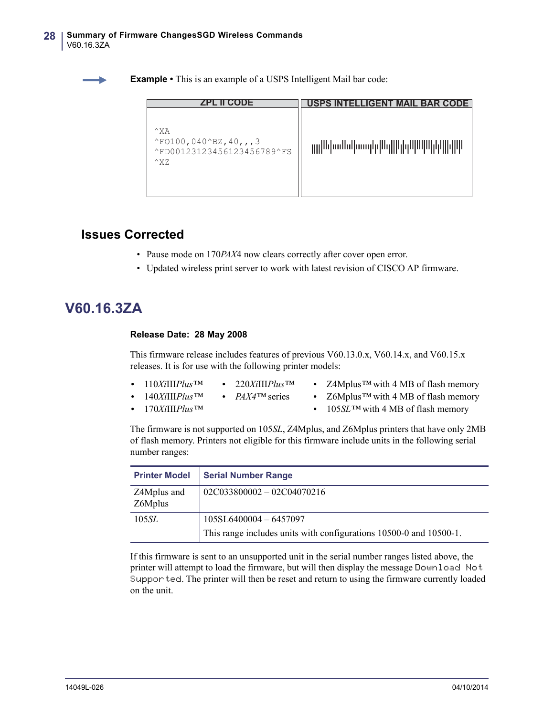**Example •** This is an example of a USPS Intelligent Mail bar code:

| <b>ZPL II CODE</b>                                                                                                  | USPS INTELLIGENT MAIL BAR CODE |
|---------------------------------------------------------------------------------------------------------------------|--------------------------------|
| $^{\wedge}$ XA<br>$^{\wedge}$ FO100, 040 $^{\wedge}$ BZ, 40, , , 3<br>^FD00123123456123456789^FS<br>$^{\wedge}$ X Z | րը Ախմեն ատիվԱզ  կիկ  Ալկ      |

### **Issues Corrected**

- Pause mode on 170*PAX*4 now clears correctly after cover open error.
- Updated wireless print server to work with latest revision of CISCO AP firmware.

### <span id="page-27-0"></span>**V60.16.3ZA**

#### <span id="page-27-1"></span>**Release Date: 28 May 2008**

This firmware release includes features of previous V60.13.0.x, V60.14.x, and V60.15.x releases. It is for use with the following printer models:

- **•** 110*Xi*III*Plus™* **•** 220*Xi*III*Plus™*
- **•** 140*Xi*III*Plus™* **•** *PAX4™* series
- **•** Z4Mplus*™* with 4 MB of flash memory
- **•** Z6Mplus*™* with 4 MB of flash memory

**•** 170*Xi*III*Plus™*

**•** 105*SL™* with 4 MB of flash memory

The firmware is not supported on 105*SL*, Z4Mplus, and Z6Mplus printers that have only 2MB of flash memory. Printers not eligible for this firmware include units in the following serial number ranges:

| <b>Printer Model</b>   | <b>Serial Number Range</b>                                         |
|------------------------|--------------------------------------------------------------------|
| Z4Mplus and<br>Z6Mplus | $02C033800002 - 02C04070216$                                       |
| 105 <i>SL</i>          | $105SL6400004 - 6457097$                                           |
|                        | This range includes units with configurations 10500-0 and 10500-1. |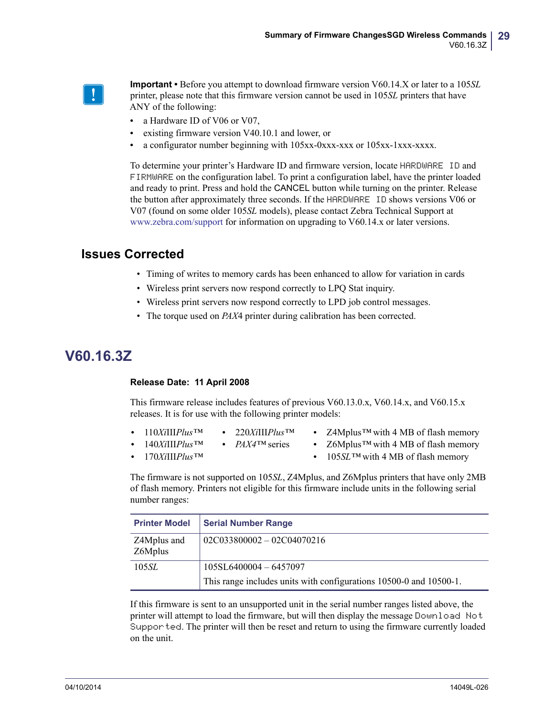

**Important •** Before you attempt to download firmware version V60.14.X or later to a 105*SL* printer, please note that this firmware version cannot be used in 105*SL* printers that have ANY of the following:

- a Hardware ID of V06 or V07,
- **•** existing firmware version V40.10.1 and lower, or
- **•** a configurator number beginning with 105xx-0xxx-xxx or 105xx-1xxx-xxxx.

To determine your printer's Hardware ID and firmware version, locate HARDWARE ID and FIRMWARE on the configuration label. To print a configuration label, have the printer loaded and ready to print. Press and hold the CANCEL button while turning on the printer. Release the button after approximately three seconds. If the HARDWARE ID shows versions V06 or V07 (found on some older 105*SL* models), please contact Zebra Technical Support at [www.zebra.com/support](http://www.zebra.com/support) for information on upgrading to V60.14.x or later versions.

### **Issues Corrected**

- Timing of writes to memory cards has been enhanced to allow for variation in cards
- Wireless print servers now respond correctly to LPQ Stat inquiry.
- Wireless print servers now respond correctly to LPD job control messages.
- The torque used on *PAX*4 printer during calibration has been corrected.

### <span id="page-28-0"></span>**V60.16.3Z**

#### <span id="page-28-1"></span>**Release Date: 11 April 2008**

This firmware release includes features of previous V60.13.0.x, V60.14.x, and V60.15.x releases. It is for use with the following printer models:

- **•** 110*Xi*III*Plus™* **•** 220*Xi*III*Plus™*
	-
- **•** *PAX4™* series
- **•** Z4Mplus*™* with 4 MB of flash memory **•** Z6Mplus*™* with 4 MB of flash memory
- **•** 140*Xi*III*Plus™* **•** 170*Xi*III*Plus™*
- **•** 105*SL™* with 4 MB of flash memory

The firmware is not supported on 105*SL*, Z4Mplus, and Z6Mplus printers that have only 2MB of flash memory. Printers not eligible for this firmware include units in the following serial number ranges:

| <b>Printer Model</b>   | <b>Serial Number Range</b>                                         |
|------------------------|--------------------------------------------------------------------|
| Z4Mplus and<br>Z6Mplus | $02C033800002 - 02C04070216$                                       |
| 105 <i>SL</i>          | $105SL6400004 - 6457097$                                           |
|                        | This range includes units with configurations 10500-0 and 10500-1. |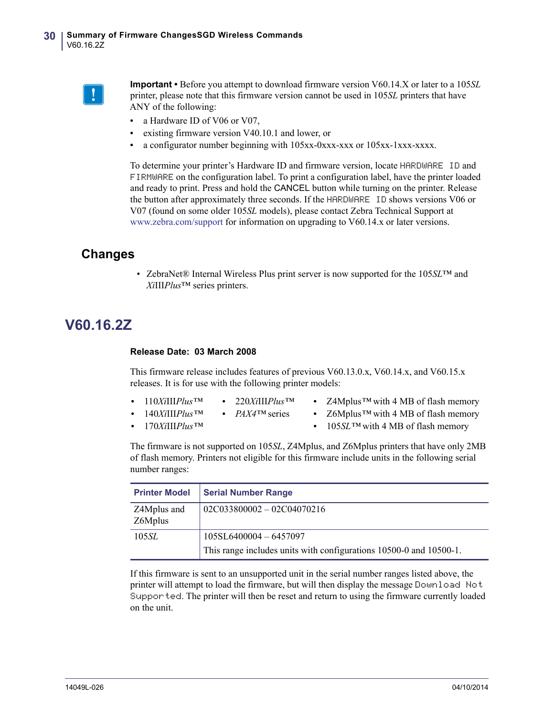

**Important •** Before you attempt to download firmware version V60.14.X or later to a 105*SL* printer, please note that this firmware version cannot be used in 105*SL* printers that have ANY of the following:

- a Hardware ID of V06 or V07,
- **•** existing firmware version V40.10.1 and lower, or
- **•** a configurator number beginning with 105xx-0xxx-xxx or 105xx-1xxx-xxxx.

To determine your printer's Hardware ID and firmware version, locate HARDWARE ID and FIRMWARE on the configuration label. To print a configuration label, have the printer loaded and ready to print. Press and hold the CANCEL button while turning on the printer. Release the button after approximately three seconds. If the HARDWARE ID shows versions V06 or V07 (found on some older 105*SL* models), please contact Zebra Technical Support at [www.zebra.com/support](http://www.zebra.com/support) for information on upgrading to V60.14.x or later versions.

### **Changes**

• ZebraNet® Internal Wireless Plus print server is now supported for the 105*SL*™ and *Xi*III*Plus*™ series printers.

### <span id="page-29-0"></span>**V60.16.2Z**

#### <span id="page-29-1"></span>**Release Date: 03 March 2008**

This firmware release includes features of previous V60.13.0.x, V60.14.x, and V60.15.x releases. It is for use with the following printer models:

- **•** 110*Xi*III*Plus™* **•** 220*Xi*III*Plus™*
	- **•** *PAX4™* series
- **•** Z4Mplus*™* with 4 MB of flash memory **•** Z6Mplus*™* with 4 MB of flash memory

**•** 140*Xi*III*Plus™* **•** 170*Xi*III*Plus™*

**•** 105*SL™* with 4 MB of flash memory

The firmware is not supported on 105*SL*, Z4Mplus, and Z6Mplus printers that have only 2MB of flash memory. Printers not eligible for this firmware include units in the following serial number ranges:

| <b>Printer Model</b>   | <b>Serial Number Range</b>                                         |
|------------------------|--------------------------------------------------------------------|
| Z4Mplus and<br>Z6Mplus | $02C033800002 - 02C04070216$                                       |
| 105 <i>SL</i>          | $105SL6400004 - 6457097$                                           |
|                        | This range includes units with configurations 10500-0 and 10500-1. |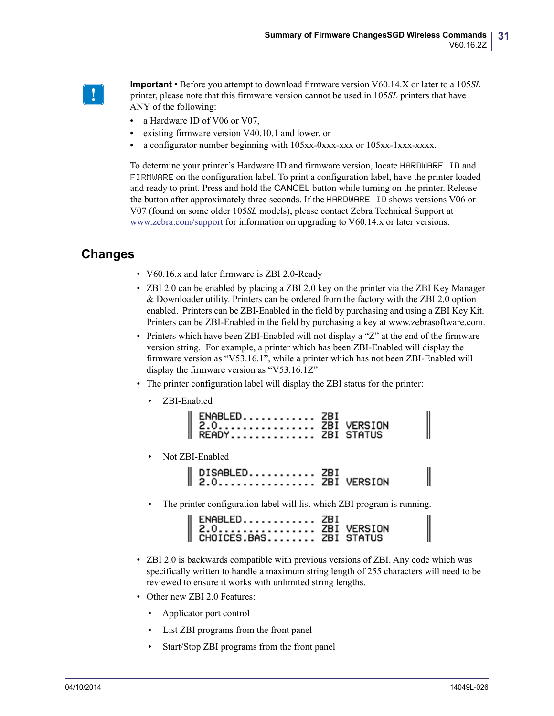

**Important •** Before you attempt to download firmware version V60.14.X or later to a 105*SL* printer, please note that this firmware version cannot be used in 105*SL* printers that have ANY of the following:

- a Hardware ID of V06 or V07,
- **•** existing firmware version V40.10.1 and lower, or
- **•** a configurator number beginning with 105xx-0xxx-xxx or 105xx-1xxx-xxxx.

To determine your printer's Hardware ID and firmware version, locate HARDWARE ID and FIRMWARE on the configuration label. To print a configuration label, have the printer loaded and ready to print. Press and hold the CANCEL button while turning on the printer. Release the button after approximately three seconds. If the HARDWARE ID shows versions V06 or V07 (found on some older 105*SL* models), please contact Zebra Technical Support at [www.zebra.com/support](http://www.zebra.com/support) for information on upgrading to V60.14.x or later versions.

### **Changes**

- V60.16.x and later firmware is ZBI 2.0-Ready
- ZBI 2.0 can be enabled by placing a ZBI 2.0 key on the printer via the ZBI Key Manager & Downloader utility. Printers can be ordered from the factory with the ZBI 2.0 option enabled. Printers can be ZBI-Enabled in the field by purchasing and using a ZBI Key Kit. Printers can be ZBI-Enabled in the field by purchasing a key at www.zebrasoftware.com.
- Printers which have been ZBI-Enabled will not display a "Z" at the end of the firmware version string. For example, a printer which has been ZBI-Enabled will display the firmware version as "V53.16.1", while a printer which has not been ZBI-Enabled will display the firmware version as "V53.16.1Z"
- The printer configuration label will display the ZBI status for the printer:
	- ZBI-Enabled

| ENABLED ZBI<br>   2.0 ZBI VERSION<br>   READY ZBI STATUS |
|----------------------------------------------------------|
|                                                          |
|                                                          |

• Not ZBI-Enabled

| DISABLED ZBI<br>   2.0 ZBI VERSION |  |
|------------------------------------|--|
|                                    |  |

The printer configuration label will list which ZBI program is running.

| ENABLED ZBI<br>  2.0 ZBI VERSION<br>  CHOICES.BAS ZBI STATUS |  |
|--------------------------------------------------------------|--|

- ZBI 2.0 is backwards compatible with previous versions of ZBI. Any code which was specifically written to handle a maximum string length of 255 characters will need to be reviewed to ensure it works with unlimited string lengths.
- Other new ZBI 2.0 Features:
	- Applicator port control
	- List ZBI programs from the front panel
	- Start/Stop ZBI programs from the front panel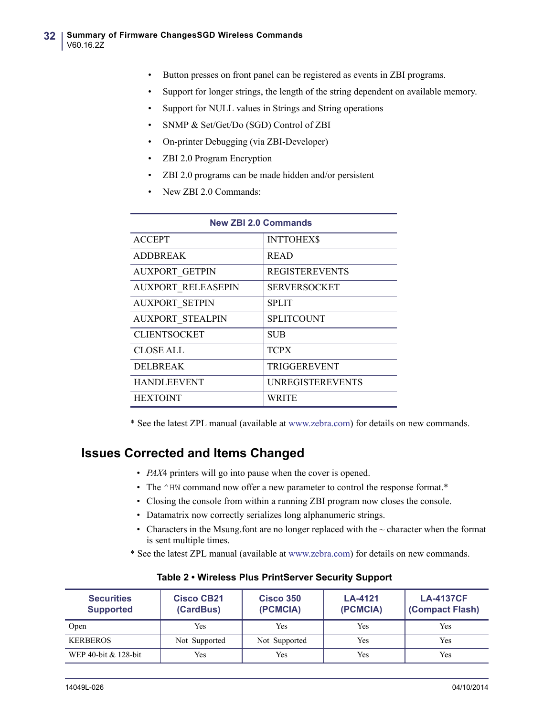- Button presses on front panel can be registered as events in ZBI programs.
- Support for longer strings, the length of the string dependent on available memory.
- Support for NULL values in Strings and String operations
- SNMP & Set/Get/Do (SGD) Control of ZBI
- On-printer Debugging (via ZBI-Developer)
- ZBI 2.0 Program Encryption
- ZBI 2.0 programs can be made hidden and/or persistent
- New ZBI 2.0 Commands:

| <b>New ZBI 2.0 Commands</b> |                         |  |  |  |
|-----------------------------|-------------------------|--|--|--|
| <b>ACCEPT</b>               | <b>INTTOHEXS</b>        |  |  |  |
| <b>ADDBREAK</b>             | <b>READ</b>             |  |  |  |
| <b>AUXPORT GETPIN</b>       | <b>REGISTEREVENTS</b>   |  |  |  |
| <b>AUXPORT RELEASEPIN</b>   | <b>SERVERSOCKET</b>     |  |  |  |
| <b>AUXPORT SETPIN</b>       | <b>SPLIT</b>            |  |  |  |
| <b>AUXPORT STEALPIN</b>     | <b>SPLITCOUNT</b>       |  |  |  |
| <b>CLIENTSOCKET</b>         | <b>SUB</b>              |  |  |  |
| <b>CLOSE ALL</b>            | <b>TCPX</b>             |  |  |  |
| <b>DELBREAK</b>             | <b>TRIGGEREVENT</b>     |  |  |  |
| <b>HANDLEEVENT</b>          | <b>UNREGISTEREVENTS</b> |  |  |  |
| <b>HEXTOINT</b>             | WRITE                   |  |  |  |

\* See the latest ZPL manual (available at www.zebra.com) for details on new commands.

### **Issues Corrected and Items Changed**

- *PAX*4 printers will go into pause when the cover is opened.
- The ^HW command now offer a new parameter to control the response format.\*
- Closing the console from within a running ZBI program now closes the console.
- Datamatrix now correctly serializes long alphanumeric strings.
- Characters in the Msung.font are no longer replaced with the  $\sim$  character when the format is sent multiple times.
- \* See the latest ZPL manual (available at www.zebra.com) for details on new commands.

| <b>Securities</b><br><b>Supported</b> | <b>Cisco CB21</b><br>(CardBus) | <b>Cisco 350</b><br>(PCMCIA) | LA-4121<br>(PCMCIA) | <b>LA-4137CF</b><br>(Compact Flash) |
|---------------------------------------|--------------------------------|------------------------------|---------------------|-------------------------------------|
| Open                                  | Yes                            | Yes                          | Yes                 | Yes                                 |
| <b>KERBEROS</b>                       | Not Supported                  | Not Supported                | Yes                 | Yes                                 |
| WEP 40-bit & 128-bit                  | Yes                            | Yes                          | Yes                 | Yes                                 |

#### **Table 2 • Wireless Plus PrintServer Security Support**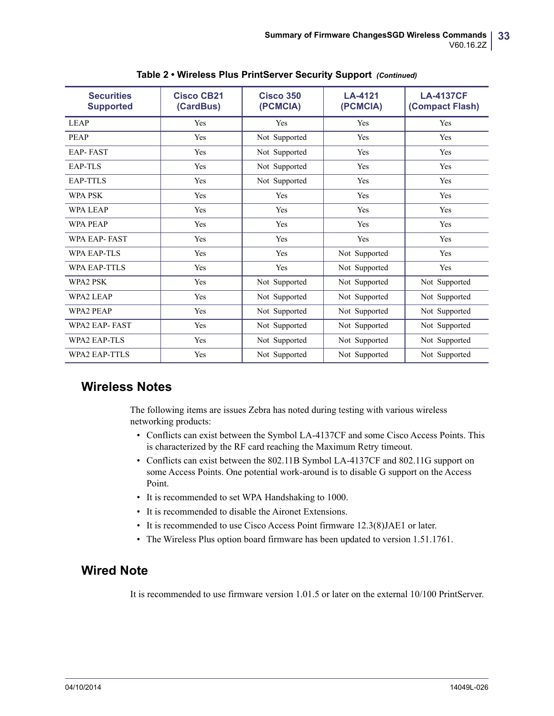| <b>Securities</b><br><b>Supported</b> | <b>Cisco CB21</b><br>(CardBus) | <b>Cisco 350</b><br>(PCMCIA) | LA-4121<br>(PCMCIA) | <b>LA-4137CF</b><br>(Compact Flash) |
|---------------------------------------|--------------------------------|------------------------------|---------------------|-------------------------------------|
| <b>LEAP</b>                           | Yes                            | Yes                          | Yes                 | Yes                                 |
| <b>PEAP</b>                           | Yes                            | Not Supported                | <b>Yes</b>          | Yes                                 |
| <b>EAP-FAST</b>                       | Yes                            | Not Supported                | <b>Yes</b>          | Yes                                 |
| EAP-TLS                               | Yes                            | Not Supported                | Yes                 | Yes                                 |
| <b>EAP-TTLS</b>                       | Yes                            | Not Supported                | Yes                 | Yes                                 |
| <b>WPA PSK</b>                        | Yes                            | Yes                          | Yes                 | Yes                                 |
| <b>WPA LEAP</b>                       | Yes                            | Yes                          | <b>Yes</b>          | Yes                                 |
| <b>WPA PEAP</b>                       | Yes                            | Yes                          | Yes                 | Yes                                 |
| <b>WPA EAP-FAST</b>                   | Yes                            | Yes                          | <b>Yes</b>          | Yes                                 |
| <b>WPA EAP-TLS</b>                    | Yes                            | Yes                          | Not Supported       | Yes                                 |
| <b>WPA EAP-TTLS</b>                   | Yes                            | Yes                          | Not Supported       | Yes                                 |
| WPA2 PSK                              | Yes                            | Not Supported                | Not Supported       | Not Supported                       |
| <b>WPA2 LEAP</b>                      | Yes                            | Not Supported                | Not Supported       | Not Supported                       |
| <b>WPA2 PEAP</b>                      | Yes                            | Not Supported                | Not Supported       | Not Supported                       |
| <b>WPA2 EAP-FAST</b>                  | Yes                            | Not Supported                | Not Supported       | Not Supported                       |
| <b>WPA2 EAP-TLS</b>                   | Yes                            | Not Supported                | Not Supported       | Not Supported                       |
| <b>WPA2 EAP-TTLS</b>                  | Yes                            | Not Supported                | Not Supported       | Not Supported                       |

#### **Table 2 • Wireless Plus PrintServer Security Support** *(Continued)*

### **Wireless Notes**

The following items are issues Zebra has noted during testing with various wireless networking products:

- Conflicts can exist between the Symbol LA-4137CF and some Cisco Access Points. This is characterized by the RF card reaching the Maximum Retry timeout.
- Conflicts can exist between the 802.11B Symbol LA-4137CF and 802.11G support on some Access Points. One potential work-around is to disable G support on the Access Point.
- It is recommended to set WPA Handshaking to 1000.
- It is recommended to disable the Aironet Extensions.
- It is recommended to use Cisco Access Point firmware 12.3(8)JAE1 or later.
- The Wireless Plus option board firmware has been updated to version 1.51.1761.

### **Wired Note**

It is recommended to use firmware version 1.01.5 or later on the external 10/100 PrintServer.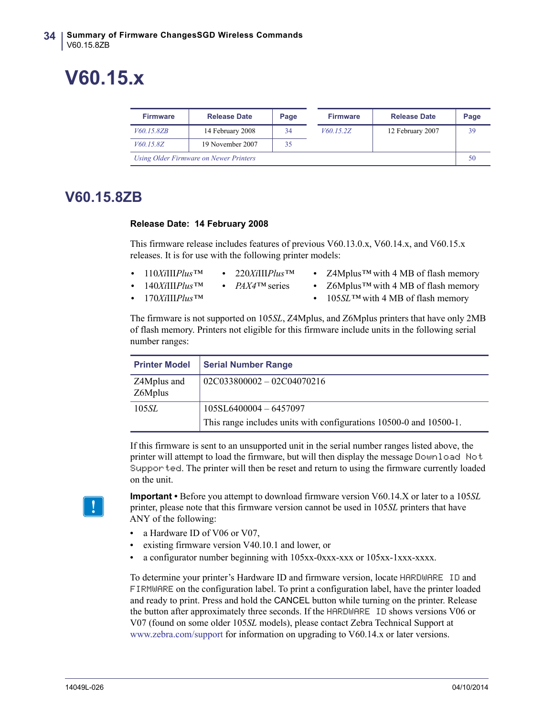# <span id="page-33-0"></span>**V60.15.x**

| <b>Firmware</b>                        | <b>Release Date</b> | Page |  | <b>Firmware</b> | <b>Release Date</b> | Page |
|----------------------------------------|---------------------|------|--|-----------------|---------------------|------|
| <i>V</i> 60.15.8ZB                     | 14 February 2008    | 34   |  | V60.15.2Z       | 12 February 2007    | 39   |
| V60.15.8Z                              | 19 November 2007    | 35   |  |                 |                     |      |
| Using Older Firmware on Newer Printers |                     |      |  |                 |                     | 50   |

### <span id="page-33-1"></span>**V60.15.8ZB**

#### <span id="page-33-2"></span>**Release Date: 14 February 2008**

This firmware release includes features of previous V60.13.0.x, V60.14.x, and V60.15.x releases. It is for use with the following printer models:

- **•** 110*Xi*III*Plus™*
	- **•** 220*Xi*III*Plus™*
- **•** Z4Mplus*™* with 4 MB of flash memory
- **•** 140*Xi*III*Plus™*
- **•** *PAX4™* series
- **•** 170*Xi*III*Plus™*
- **•** Z6Mplus*™* with 4 MB of flash memory
- **•** 105*SL™* with 4 MB of flash memory

The firmware is not supported on 105*SL*, Z4Mplus, and Z6Mplus printers that have only 2MB of flash memory. Printers not eligible for this firmware include units in the following serial number ranges:

| <b>Printer Model</b>   | <b>Serial Number Range</b>                                         |
|------------------------|--------------------------------------------------------------------|
| Z4Mplus and<br>Z6Mplus | $02C033800002 - 02C04070216$                                       |
| 105 <i>SL</i>          | 105SL6400004 - 6457097                                             |
|                        | This range includes units with configurations 10500-0 and 10500-1. |

If this firmware is sent to an unsupported unit in the serial number ranges listed above, the printer will attempt to load the firmware, but will then display the message Download Not Supported. The printer will then be reset and return to using the firmware currently loaded on the unit.



**Important •** Before you attempt to download firmware version V60.14.X or later to a 105*SL* printer, please note that this firmware version cannot be used in 105*SL* printers that have ANY of the following:

- a Hardware ID of V06 or V07,
- **•** existing firmware version V40.10.1 and lower, or
- **•** a configurator number beginning with 105xx-0xxx-xxx or 105xx-1xxx-xxxx.

To determine your printer's Hardware ID and firmware version, locate HARDWARE ID and FIRMWARE on the configuration label. To print a configuration label, have the printer loaded and ready to print. Press and hold the CANCEL button while turning on the printer. Release the button after approximately three seconds. If the HARDWARE ID shows versions V06 or V07 (found on some older 105*SL* models), please contact Zebra Technical Support at [www.zebra.com/support](http://www.zebra.com/support) for information on upgrading to V60.14.x or later versions.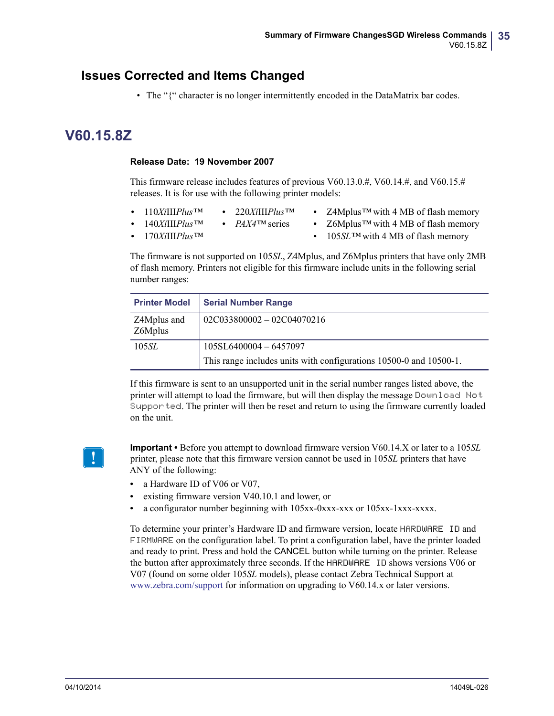### **Issues Corrected and Items Changed**

• The "{" character is no longer intermittently encoded in the DataMatrix bar codes.

### <span id="page-34-0"></span>**V60.15.8Z**

#### <span id="page-34-1"></span>**Release Date: 19 November 2007**

This firmware release includes features of previous V60.13.0.#, V60.14.#, and V60.15.# releases. It is for use with the following printer models:

- **•** 110*Xi*III*Plus™* **•** 220*Xi*III*Plus™*
- **•** Z4Mplus*™* with 4 MB of flash memory **•** Z6Mplus*™* with 4 MB of flash memory
- **•** 140*Xi*III*Plus™* **•** 170*Xi*III*Plus™* **•** *PAX4™* series
- **•** 105*SL™* with 4 MB of flash memory

The firmware is not supported on 105*SL*, Z4Mplus, and Z6Mplus printers that have only 2MB of flash memory. Printers not eligible for this firmware include units in the following serial number ranges:

| <b>Printer Model</b>   | <b>Serial Number Range</b>                                         |
|------------------------|--------------------------------------------------------------------|
| Z4Mplus and<br>Z6Mplus | $02C033800002 - 02C04070216$                                       |
| 105 <i>SL</i>          | 105SL6400004 - 6457097                                             |
|                        | This range includes units with configurations 10500-0 and 10500-1. |

If this firmware is sent to an unsupported unit in the serial number ranges listed above, the printer will attempt to load the firmware, but will then display the message Download Not Supported. The printer will then be reset and return to using the firmware currently loaded on the unit.



**Important •** Before you attempt to download firmware version V60.14.X or later to a 105*SL* printer, please note that this firmware version cannot be used in 105*SL* printers that have ANY of the following:

- a Hardware ID of V06 or V07,
- **•** existing firmware version V40.10.1 and lower, or
- **•** a configurator number beginning with 105xx-0xxx-xxx or 105xx-1xxx-xxxx.

To determine your printer's Hardware ID and firmware version, locate HARDWARE ID and FIRMWARE on the configuration label. To print a configuration label, have the printer loaded and ready to print. Press and hold the CANCEL button while turning on the printer. Release the button after approximately three seconds. If the HARDWARE ID shows versions V06 or V07 (found on some older 105*SL* models), please contact Zebra Technical Support at [www.zebra.com/support](http://www.zebra.com/support) for information on upgrading to V60.14.x or later versions.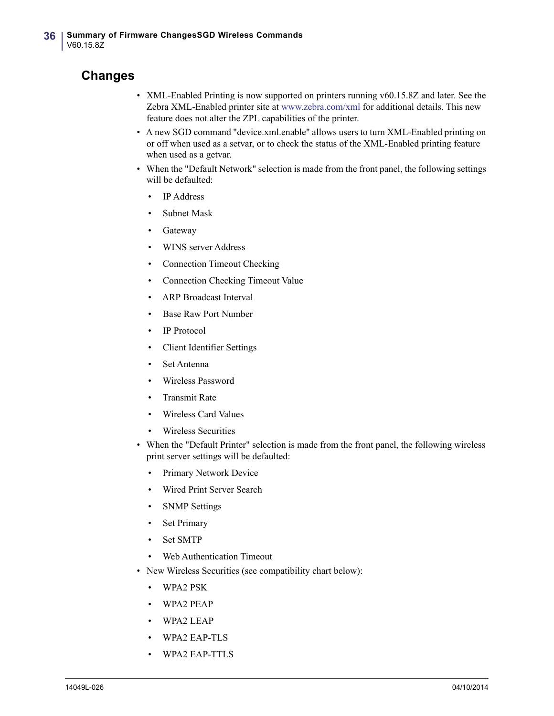### **Changes**

- XML-Enabled Printing is now supported on printers running v60.15.8Z and later. See the Zebra XML-Enabled printer site at [www.zebra.com/xml](http://www.zebra.com/xml
) for additional details. This new feature does not alter the ZPL capabilities of the printer.
- A new SGD command "device.xml.enable" allows users to turn XML-Enabled printing on or off when used as a setvar, or to check the status of the XML-Enabled printing feature when used as a getvar.
- When the "Default Network" selection is made from the front panel, the following settings will be defaulted:
	- IP Address
	- Subnet Mask
	- **Gateway**
	- WINS server Address
	- Connection Timeout Checking
	- Connection Checking Timeout Value
	- ARP Broadcast Interval
	- Base Raw Port Number
	- IP Protocol
	- Client Identifier Settings
	- Set Antenna
	- Wireless Password
	- Transmit Rate
	- Wireless Card Values
	- Wireless Securities
- When the "Default Printer" selection is made from the front panel, the following wireless print server settings will be defaulted:
	- Primary Network Device
	- Wired Print Server Search
	- **SNMP** Settings
	- Set Primary
	- Set SMTP
	- Web Authentication Timeout
- New Wireless Securities (see compatibility chart below):
	- WPA2 PSK
	- WPA2 PEAP
	- WPA2 LEAP
	- WPA2 EAP-TLS
	- WPA2 EAP-TTLS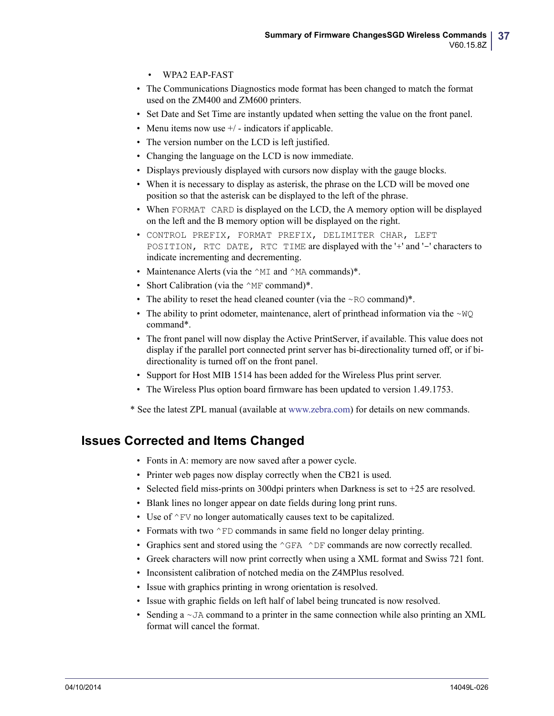- WPA2 EAP-FAST
- The Communications Diagnostics mode format has been changed to match the format used on the ZM400 and ZM600 printers.
- Set Date and Set Time are instantly updated when setting the value on the front panel.
- Menu items now use  $+/-$  indicators if applicable.
- The version number on the LCD is left justified.
- Changing the language on the LCD is now immediate.
- Displays previously displayed with cursors now display with the gauge blocks.
- When it is necessary to display as asterisk, the phrase on the LCD will be moved one position so that the asterisk can be displayed to the left of the phrase.
- When FORMAT CARD is displayed on the LCD, the A memory option will be displayed on the left and the B memory option will be displayed on the right.
- CONTROL PREFIX, FORMAT PREFIX, DELIMITER CHAR, LEFT POSITION, RTC DATE, RTC TIME are displayed with the '+' and '-' characters to indicate incrementing and decrementing.
- Maintenance Alerts (via the  $\wedge$ MI and  $\wedge$ MA commands)\*.
- Short Calibration (via the  $^{\wedge}$ MF command)\*.
- The ability to reset the head cleaned counter (via the  $\sim$ RO command)<sup>\*</sup>.
- The ability to print odometer, maintenance, alert of printhead information via the  $\sim$ WQ command\*.
- The front panel will now display the Active PrintServer, if available. This value does not display if the parallel port connected print server has bi-directionality turned off, or if bidirectionality is turned off on the front panel.
- Support for Host MIB 1514 has been added for the Wireless Plus print server.
- The Wireless Plus option board firmware has been updated to version 1.49.1753.

[\\* See the latest ZPL manual \(available at w](http://www.zebra.com)ww.zebra.com) for details on new commands.

### **Issues Corrected and Items Changed**

- Fonts in A: memory are now saved after a power cycle.
- Printer web pages now display correctly when the CB21 is used.
- Selected field miss-prints on 300dpi printers when Darkness is set to  $+25$  are resolved.
- Blank lines no longer appear on date fields during long print runs.
- Use of  $\textdegree$ FV no longer automatically causes text to be capitalized.
- Formats with two  $\wedge$ FD commands in same field no longer delay printing.
- Graphics sent and stored using the  $^{\wedge}$ GFA  $^{\wedge}$ DF commands are now correctly recalled.
- Greek characters will now print correctly when using a XML format and Swiss 721 font.
- Inconsistent calibration of notched media on the Z4MPlus resolved.
- Issue with graphics printing in wrong orientation is resolved.
- Issue with graphic fields on left half of label being truncated is now resolved.
- Sending a  $\sim$  JA command to a printer in the same connection while also printing an XML format will cancel the format.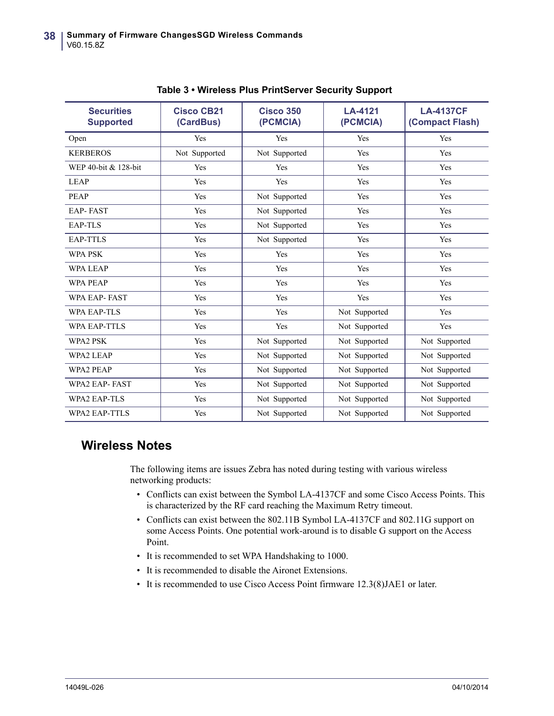| <b>Securities</b><br><b>Supported</b> | <b>Cisco CB21</b><br>(CardBus) | <b>Cisco 350</b><br>(PCMCIA) | LA-4121<br>(PCMCIA) | <b>LA-4137CF</b><br>(Compact Flash) |
|---------------------------------------|--------------------------------|------------------------------|---------------------|-------------------------------------|
| Open                                  | Yes                            | Yes                          | Yes                 | Yes                                 |
| <b>KERBEROS</b>                       | Not Supported                  | Not Supported                | Yes                 | Yes                                 |
| WEP 40-bit & 128-bit                  | Yes                            | Yes                          | Yes                 | Yes                                 |
| <b>LEAP</b>                           | Yes                            | Yes                          | Yes                 | Yes                                 |
| <b>PEAP</b>                           | Yes                            | Not Supported                | Yes                 | Yes                                 |
| <b>EAP-FAST</b>                       | Yes                            | Not Supported                | Yes                 | Yes                                 |
| EAP-TLS                               | Yes                            | Not Supported                | Yes                 | Yes                                 |
| <b>EAP-TTLS</b>                       | Yes                            | Not Supported                | Yes                 | Yes                                 |
| <b>WPA PSK</b>                        | Yes                            | Yes                          | Yes                 | Yes                                 |
| <b>WPA LEAP</b>                       | Yes                            | Yes                          | Yes                 | Yes                                 |
| <b>WPA PEAP</b>                       | Yes                            | Yes                          | Yes                 | Yes                                 |
| <b>WPA EAP-FAST</b>                   | Yes                            | Yes                          | Yes                 | Yes                                 |
| <b>WPA EAP-TLS</b>                    | Yes                            | Yes                          | Not Supported       | Yes                                 |
| <b>WPA EAP-TTLS</b>                   | Yes                            | Yes                          | Not Supported       | Yes                                 |
| WPA2 PSK                              | Yes                            | Not Supported                | Not Supported       | Not Supported                       |
| <b>WPA2 LEAP</b>                      | Yes                            | Not Supported                | Not Supported       | Not Supported                       |
| <b>WPA2 PEAP</b>                      | Yes                            | Not Supported                | Not Supported       | Not Supported                       |
| <b>WPA2 EAP-FAST</b>                  | Yes                            | Not Supported                | Not Supported       | Not Supported                       |
| WPA2 EAP-TLS                          | Yes                            | Not Supported                | Not Supported       | Not Supported                       |
| <b>WPA2 EAP-TTLS</b>                  | Yes                            | Not Supported                | Not Supported       | Not Supported                       |

**Table 3 • Wireless Plus PrintServer Security Support** 

### **Wireless Notes**

The following items are issues Zebra has noted during testing with various wireless networking products:

- Conflicts can exist between the Symbol LA-4137CF and some Cisco Access Points. This is characterized by the RF card reaching the Maximum Retry timeout.
- Conflicts can exist between the 802.11B Symbol LA-4137CF and 802.11G support on some Access Points. One potential work-around is to disable G support on the Access Point.
- It is recommended to set WPA Handshaking to 1000.
- It is recommended to disable the Aironet Extensions.
- It is recommended to use Cisco Access Point firmware 12.3(8)JAE1 or later.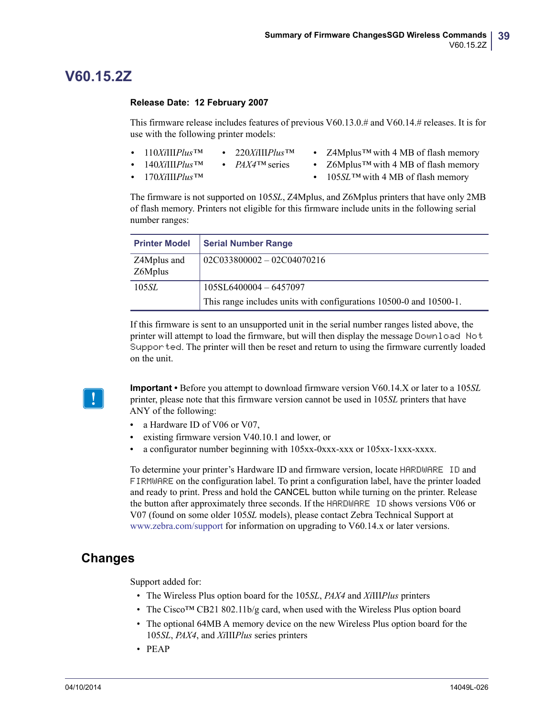### <span id="page-38-0"></span>**V60.15.2Z**

#### <span id="page-38-1"></span>**Release Date: 12 February 2007**

This firmware release includes features of previous V60.13.0.# and V60.14.# releases. It is for use with the following printer models:

- **•** 110*Xi*III*Plus™* **•** 220*Xi*III*Plus™*
- **•** Z4Mplus*™* with 4 MB of flash memory
- **•** 140*Xi*III*Plus™*
- **•** *PAX4™* series
- **•** 170*Xi*III*Plus™*
- **•** Z6Mplus*™* with 4 MB of flash memory
- **•** 105*SL™* with 4 MB of flash memory

The firmware is not supported on 105*SL*, Z4Mplus, and Z6Mplus printers that have only 2MB of flash memory. Printers not eligible for this firmware include units in the following serial number ranges:

| <b>Printer Model</b>   | <b>Serial Number Range</b>                                         |
|------------------------|--------------------------------------------------------------------|
| Z4Mplus and<br>Z6Mplus | $02C033800002 - 02C04070216$                                       |
| 105SL                  | 105SL6400004-6457097                                               |
|                        | This range includes units with configurations 10500-0 and 10500-1. |

If this firmware is sent to an unsupported unit in the serial number ranges listed above, the printer will attempt to load the firmware, but will then display the message Download Not Supported. The printer will then be reset and return to using the firmware currently loaded on the unit.



**Important •** Before you attempt to download firmware version V60.14.X or later to a 105*SL* printer, please note that this firmware version cannot be used in 105*SL* printers that have ANY of the following:

- a Hardware ID of V06 or V07.
- **•** existing firmware version V40.10.1 and lower, or
- **•** a configurator number beginning with 105xx-0xxx-xxx or 105xx-1xxx-xxxx.

To determine your printer's Hardware ID and firmware version, locate HARDWARE ID and FIRMWARE on the configuration label. To print a configuration label, have the printer loaded and ready to print. Press and hold the CANCEL button while turning on the printer. Release the button after approximately three seconds. If the HARDWARE ID shows versions V06 or V07 (found on some older 105*SL* models), please contact Zebra Technical Support at [www.zebra.com/support](http://www.zebra.com/support) for information on upgrading to V60.14.x or later versions.

### **Changes**

Support added for:

- The Wireless Plus option board for the 105*SL*, *PAX4* and *Xi*III*Plus* printers
- The Cisco<sup>TM</sup> CB21 802.11b/g card, when used with the Wireless Plus option board
- The optional 64MB A memory device on the new Wireless Plus option board for the 105*SL*, *PAX4*, and *Xi*III*Plus* series printers
- PEAP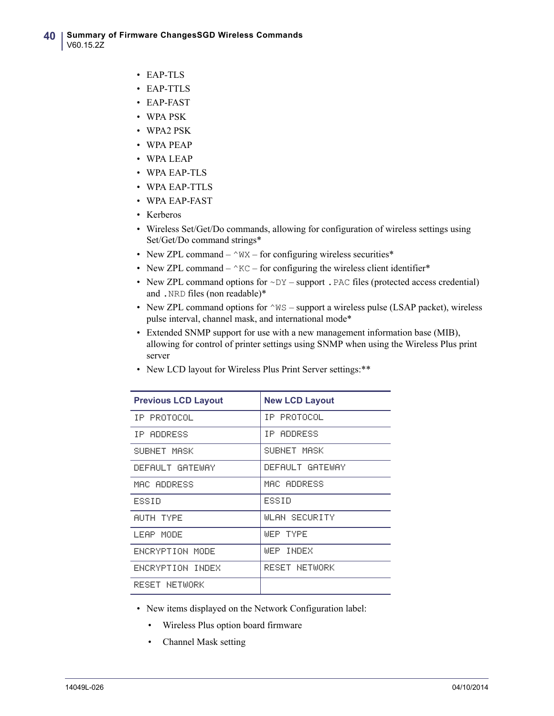- EAP-TLS
- EAP-TTLS
- EAP-FAST
- WPA PSK
- WPA2 PSK
- WPA PEAP
- WPA LEAP
- WPA EAP-TLS
- WPA EAP-TTLS
- WPA EAP-FAST
- Kerberos
- Wireless Set/Get/Do commands, allowing for configuration of wireless settings using Set/Get/Do command strings\*
- New ZPL command  $-\gamma$ WX for configuring wireless securities\*
- New ZPL command  $-\triangle$ KC for configuring the wireless client identifier\*
- New ZPL command options for  $\sim$  DY support . PAC files (protected access credential) and .NRD files (non readable)\*
- New ZPL command options for  $\wedge$ WS support a wireless pulse (LSAP packet), wireless pulse interval, channel mask, and international mode\*
- Extended SNMP support for use with a new management information base (MIB), allowing for control of printer settings using SNMP when using the Wireless Plus print server
- New LCD layout for Wireless Plus Print Server settings:\*\*

| <b>Previous LCD Layout</b> | <b>New LCD Layout</b> |  |  |
|----------------------------|-----------------------|--|--|
| IP PROTOCOL                | IP PROTOCOL           |  |  |
| IP ADDRESS                 | IP ADDRESS            |  |  |
| SUBNET MASK                | SUBNET MASK           |  |  |
| DEFAULT GATEWAY            | DEFAULT GATEWAY       |  |  |
| MAC ADDRESS                | MAC ADDRESS           |  |  |
| ESSID                      | ESSID                 |  |  |
| AUTH TYPE                  | WLAN SECURITY         |  |  |
| LEAP MODE                  | WEP TYPE              |  |  |
| ENCRYPTION MODE            | WEP INDEX             |  |  |
| ENCRYPTION INDEX           | RESET NETWORK         |  |  |
| RESET NETWORK              |                       |  |  |

- New items displayed on the Network Configuration label:
	- Wireless Plus option board firmware
	- Channel Mask setting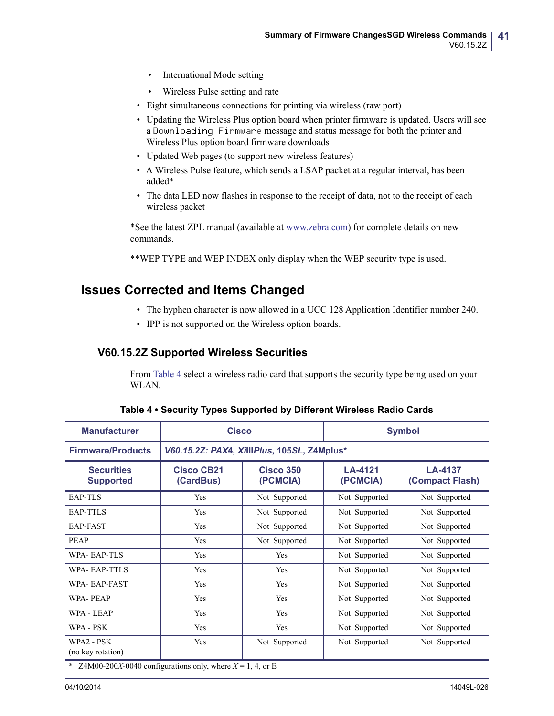- International Mode setting
- Wireless Pulse setting and rate
- Eight simultaneous connections for printing via wireless (raw port)
- Updating the Wireless Plus option board when printer firmware is updated. Users will see a Downloading Firmware message and status message for both the printer and Wireless Plus option board firmware downloads
- Updated Web pages (to support new wireless features)
- A Wireless Pulse feature, which sends a LSAP packet at a regular interval, has been added\*
- The data LED now flashes in response to the receipt of data, not to the receipt of each wireless packet

\*See the latest ZPL manual (available at [w](http://www.zebra.com/support)ww.zebra.com) for complete details on new commands.

\*\*WEP TYPE and WEP INDEX only display when the WEP security type is used.

### **Issues Corrected and Items Changed**

- The hyphen character is now allowed in a UCC 128 Application Identifier number 240.
- IPP is not supported on the Wireless option boards.

#### **V60.15.2Z Supported Wireless Securities**

From [Table 4](#page-40-0) select a wireless radio card that supports the security type being used on your WLAN.

<span id="page-40-0"></span>

| <b>Manufacturer</b>                   |                                                                | <b>Cisco</b>                                |                     | <b>Symbol</b>                     |  |
|---------------------------------------|----------------------------------------------------------------|---------------------------------------------|---------------------|-----------------------------------|--|
| <b>Firmware/Products</b>              |                                                                | V60.15.2Z: PAX4, XillIPlus, 105SL, Z4Mplus* |                     |                                   |  |
| <b>Securities</b><br><b>Supported</b> | <b>Cisco CB21</b><br><b>Cisco 350</b><br>(CardBus)<br>(PCMCIA) |                                             | LA-4121<br>(PCMCIA) | <b>LA-4137</b><br>(Compact Flash) |  |
| EAP-TLS                               | Yes                                                            | Not Supported                               | Not Supported       | Not Supported                     |  |
| EAP-TTLS                              | Yes                                                            | Not Supported                               | Not Supported       | Not Supported                     |  |
| EAP-FAST                              | Yes                                                            | Not Supported                               | Not Supported       | Not Supported                     |  |
| <b>PEAP</b>                           | Yes                                                            | Not Supported                               | Not Supported       | Not Supported                     |  |
| <b>WPA-EAP-TLS</b>                    | Yes                                                            | Yes                                         | Not Supported       | Not Supported                     |  |
| WPA-EAP-TTLS                          | Yes                                                            | Yes                                         | Not Supported       | Not Supported                     |  |
| WPA-EAP-FAST                          | Yes                                                            | Yes                                         | Not Supported       | Not Supported                     |  |
| <b>WPA-PEAP</b>                       | Yes                                                            | Yes                                         | Not Supported       | Not Supported                     |  |
| WPA - LEAP                            | Yes                                                            | Yes                                         | Not Supported       | Not Supported                     |  |
| WPA - PSK                             | Yes                                                            | Yes                                         | Not Supported       | Not Supported                     |  |
| WPA2 - PSK<br>(no key rotation)       | Yes                                                            | Not Supported                               | Not Supported       | Not Supported                     |  |

\* Z4M00-200*X*-0040 configurations only, where  $X = 1, 4$ , or E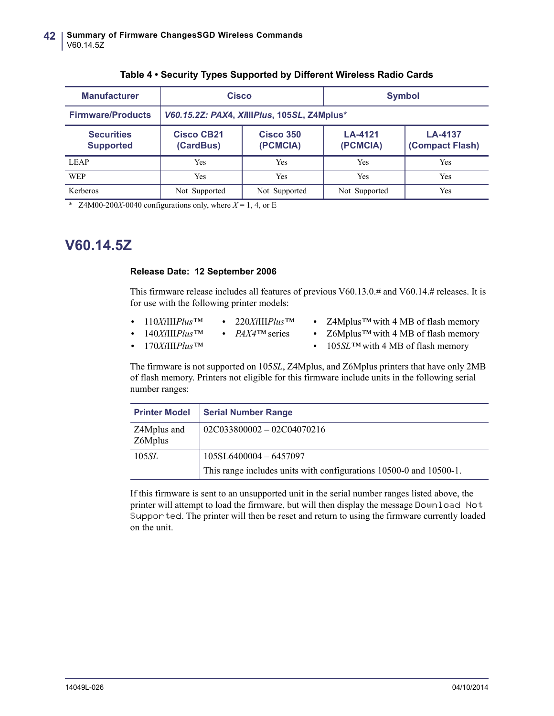| <b>Manufacturer</b>                   | Cisco                                                   |                                             | <b>Symbol</b>       |                                   |  |
|---------------------------------------|---------------------------------------------------------|---------------------------------------------|---------------------|-----------------------------------|--|
| <b>Firmware/Products</b>              |                                                         | V60.15.2Z: PAX4, XillIPlus, 105SL, Z4Mplus* |                     |                                   |  |
| <b>Securities</b><br><b>Supported</b> | Cisco CB21<br><b>Cisco 350</b><br>(PCMCIA)<br>(CardBus) |                                             | LA-4121<br>(PCMCIA) | <b>LA-4137</b><br>(Compact Flash) |  |
| <b>LEAP</b>                           | Yes                                                     | <b>Yes</b>                                  | Yes                 | <b>Yes</b>                        |  |
| <b>WEP</b>                            | Yes                                                     | <b>Yes</b>                                  | Yes                 | <b>Yes</b>                        |  |
| Kerberos                              | Not Supported                                           | Not Supported                               | Not Supported       | Yes                               |  |

#### **Table 4 • Security Types Supported by Different Wireless Radio Cards**

\* Z4M00-200*X*-0040 configurations only, where  $X = 1, 4$ , or E

### <span id="page-41-0"></span>**V60.14.5Z**

#### <span id="page-41-1"></span>**Release Date: 12 September 2006**

This firmware release includes all features of previous V60.13.0.# and V60.14.# releases. It is for use with the following printer models:

- **•** 110*Xi*III*Plus™* **•** 220*Xi*III*Plus™*
- **•** 140*Xi*III*Plus™* **•** *PAX4™* series
- **•** Z4Mplus*™* with 4 MB of flash memory
- **•** Z6Mplus*™* with 4 MB of flash memory

**•** 170*Xi*III*Plus™*

**•** 105*SL™* with 4 MB of flash memory

The firmware is not supported on 105*SL*, Z4Mplus, and Z6Mplus printers that have only 2MB of flash memory. Printers not eligible for this firmware include units in the following serial number ranges:

| <b>Printer Model</b>   | <b>Serial Number Range</b>                                         |
|------------------------|--------------------------------------------------------------------|
| Z4Mplus and<br>Z6Mplus | $02C033800002 - 02C04070216$                                       |
| 105 <i>SL</i>          | 105SL6400004 - 6457097                                             |
|                        | This range includes units with configurations 10500-0 and 10500-1. |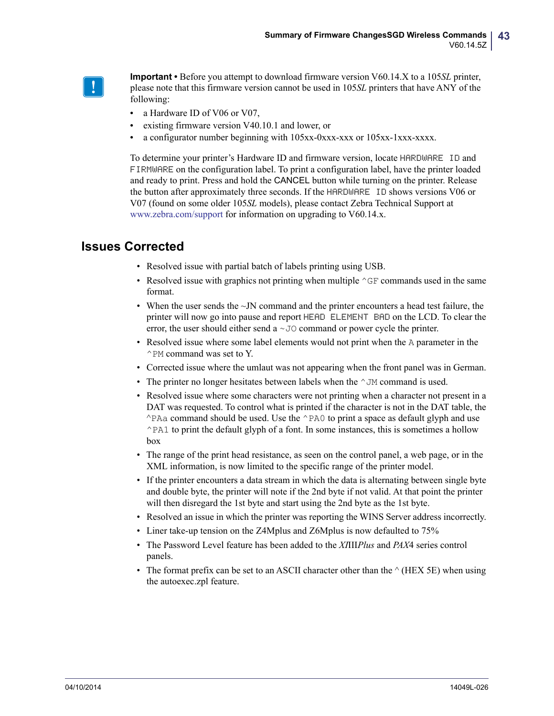

**Important •** Before you attempt to download firmware version V60.14.X to a 105*SL* printer, please note that this firmware version cannot be used in 105*SL* printers that have ANY of the following:

- a Hardware ID of V06 or V07,
- **•** existing firmware version V40.10.1 and lower, or
- **•** a configurator number beginning with 105xx-0xxx-xxx or 105xx-1xxx-xxxx.

To determine your printer's Hardware ID and firmware version, locate HARDWARE ID and FIRMWARE on the configuration label. To print a configuration label, have the printer loaded and ready to print. Press and hold the CANCEL button while turning on the printer. Release the button after approximately three seconds. If the HARDWARE ID shows versions V06 or V07 (found on some older 105*SL* models), please contact Zebra Technical Support at [www.zebra.com/support](http://www.zebra.com/support) for information on upgrading to V60.14.x.

- Resolved issue with partial batch of labels printing using USB.
- Resolved issue with graphics not printing when multiple  $\gamma$ GF commands used in the same format.
- When the user sends the  $\sim$  JN command and the printer encounters a head test failure, the printer will now go into pause and report HEAD ELEMENT BAD on the LCD. To clear the error, the user should either send a ~JO command or power cycle the printer.
- Resolved issue where some label elements would not print when the A parameter in the ^PM command was set to Y.
- Corrected issue where the umlaut was not appearing when the front panel was in German.
- The printer no longer hesitates between labels when the  $\gamma$ JM command is used.
- Resolved issue where some characters were not printing when a character not present in a DAT was requested. To control what is printed if the character is not in the DAT table, the ^PAa command should be used. Use the ^PA0 to print a space as default glyph and use  $\triangle$ PA1 to print the default glyph of a font. In some instances, this is sometimes a hollow box
- The range of the print head resistance, as seen on the control panel, a web page, or in the XML information, is now limited to the specific range of the printer model.
- If the printer encounters a data stream in which the data is alternating between single byte and double byte, the printer will note if the 2nd byte if not valid. At that point the printer will then disregard the 1st byte and start using the 2nd byte as the 1st byte.
- Resolved an issue in which the printer was reporting the WINS Server address incorrectly.
- Liner take-up tension on the Z4Mplus and Z6Mplus is now defaulted to 75%
- The Password Level feature has been added to the *XI*III*Plus* and *PAX*4 series control panels.
- The format prefix can be set to an ASCII character other than the  $\land$  (HEX 5E) when using the autoexec.zpl feature.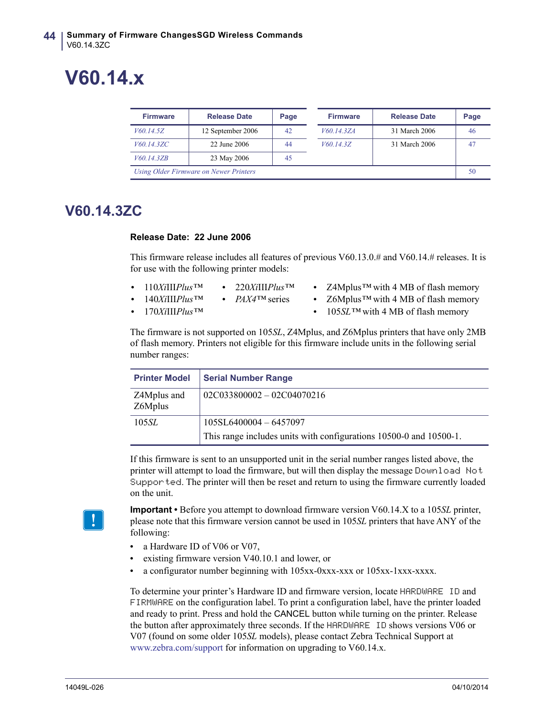# <span id="page-43-0"></span>**V60.14.x**

| <b>Firmware</b>                        | <b>Release Date</b> | Page |  | <b>Firmware</b> | <b>Release Date</b> | Page |
|----------------------------------------|---------------------|------|--|-----------------|---------------------|------|
| V60.14.5Z                              | 12 September 2006   | 42   |  | V60.14.3ZA      | 31 March 2006       | 46   |
| V60.14.3ZC                             | 22 June 2006        | 44   |  | V60.14.3Z       | 31 March 2006       |      |
| V60.14.3ZB                             | 23 May 2006         | 45   |  |                 |                     |      |
| Using Older Firmware on Newer Printers |                     |      |  |                 | 50                  |      |

### <span id="page-43-1"></span>**V60.14.3ZC**

#### <span id="page-43-2"></span>**Release Date: 22 June 2006**

This firmware release includes all features of previous V60.13.0.# and V60.14.# releases. It is for use with the following printer models:

- **•** 110*Xi*III*Plus™* **•** 220*Xi*III*Plus™*
- **•** Z4Mplus*™* with 4 MB of flash memory
- **•** *PAX4™* series **•** Z6Mplus*™* with 4 MB of flash memory
- **•** 170*Xi*III*Plus™*

**•** 140*Xi*III*Plus™*

**•** 105*SL™* with 4 MB of flash memory

The firmware is not supported on 105*SL*, Z4Mplus, and Z6Mplus printers that have only 2MB of flash memory. Printers not eligible for this firmware include units in the following serial number ranges:

| <b>Printer Model</b>   | <b>Serial Number Range</b>                                         |
|------------------------|--------------------------------------------------------------------|
| Z4Mplus and<br>Z6Mplus | $02C033800002 - 02C04070216$                                       |
| 105 <i>SL</i>          | $105SL6400004 - 6457097$                                           |
|                        | This range includes units with configurations 10500-0 and 10500-1. |

If this firmware is sent to an unsupported unit in the serial number ranges listed above, the printer will attempt to load the firmware, but will then display the message Download Not Supported. The printer will then be reset and return to using the firmware currently loaded on the unit.



**Important •** Before you attempt to download firmware version V60.14.X to a 105*SL* printer, please note that this firmware version cannot be used in 105*SL* printers that have ANY of the following:

- **•** a Hardware ID of V06 or V07,
- **•** existing firmware version V40.10.1 and lower, or
- **•** a configurator number beginning with 105xx-0xxx-xxx or 105xx-1xxx-xxxx.

To determine your printer's Hardware ID and firmware version, locate HARDWARE ID and FIRMWARE on the configuration label. To print a configuration label, have the printer loaded and ready to print. Press and hold the CANCEL button while turning on the printer. Release the button after approximately three seconds. If the HARDWARE ID shows versions V06 or V07 (found on some older 105*SL* models), please contact Zebra Technical Support at [www.zebra.com/support](http://www.zebra.com/support) for information on upgrading to V60.14.x.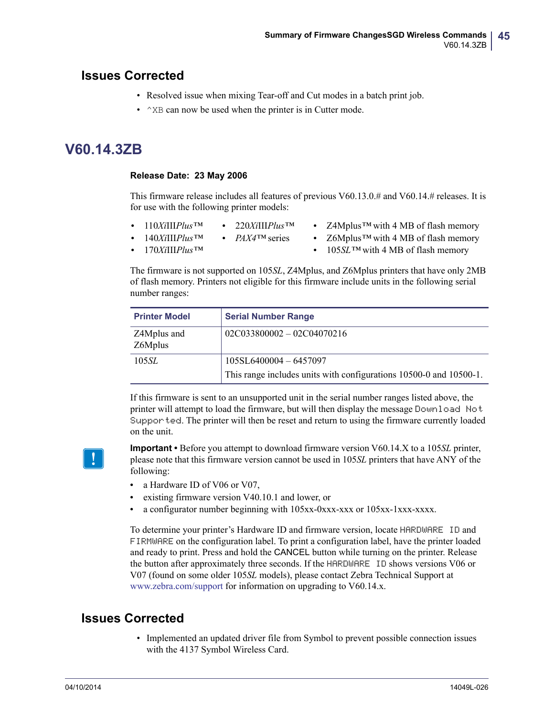### **Issues Corrected**

- Resolved issue when mixing Tear-off and Cut modes in a batch print job.
- $\gamma$ XB can now be used when the printer is in Cutter mode.

### <span id="page-44-0"></span>**V60.14.3ZB**

#### <span id="page-44-1"></span>**Release Date: 23 May 2006**

This firmware release includes all features of previous V60.13.0.# and V60.14.# releases. It is for use with the following printer models:

| $\cdot$ 110 <i>XiIIIPlus</i> TM | • 220 <i>XiIIIPlus</i> TM     | • Z4Mplus <sup>TM</sup> with 4 MB of flash memory |
|---------------------------------|-------------------------------|---------------------------------------------------|
| • 140XiIII $Plus$ <sup>TM</sup> | • $PAX4$ <sup>TM</sup> series | • $Z6Mplus^{TM}$ with 4 MB of flash memory        |
| • $170XiIPlus$ <sup>TM</sup>    |                               | • 105SL TM with 4 MB of flash memory              |

The firmware is not supported on 105*SL*, Z4Mplus, and Z6Mplus printers that have only 2MB of flash memory. Printers not eligible for this firmware include units in the following serial number ranges:

| <b>Printer Model</b>   | <b>Serial Number Range</b>                                         |
|------------------------|--------------------------------------------------------------------|
| Z4Mplus and<br>Z6Mplus | $02C033800002 - 02C04070216$                                       |
| 105 <i>SL</i>          | 105SL6400004 - 6457097                                             |
|                        | This range includes units with configurations 10500-0 and 10500-1. |

If this firmware is sent to an unsupported unit in the serial number ranges listed above, the printer will attempt to load the firmware, but will then display the message Download Not Supported. The printer will then be reset and return to using the firmware currently loaded on the unit.



**Important •** Before you attempt to download firmware version V60.14.X to a 105*SL* printer, please note that this firmware version cannot be used in 105*SL* printers that have ANY of the following:

- a Hardware ID of V06 or V07,
- **•** existing firmware version V40.10.1 and lower, or
- **•** a configurator number beginning with 105xx-0xxx-xxx or 105xx-1xxx-xxxx.

To determine your printer's Hardware ID and firmware version, locate HARDWARE ID and FIRMWARE on the configuration label. To print a configuration label, have the printer loaded and ready to print. Press and hold the CANCEL button while turning on the printer. Release the button after approximately three seconds. If the HARDWARE ID shows versions V06 or V07 (found on some older 105*SL* models), please contact Zebra Technical Support at [www.zebra.com/support](http://www.zebra.com/support) for information on upgrading to V60.14.x.

### **Issues Corrected**

• Implemented an updated driver file from Symbol to prevent possible connection issues with the 4137 Symbol Wireless Card.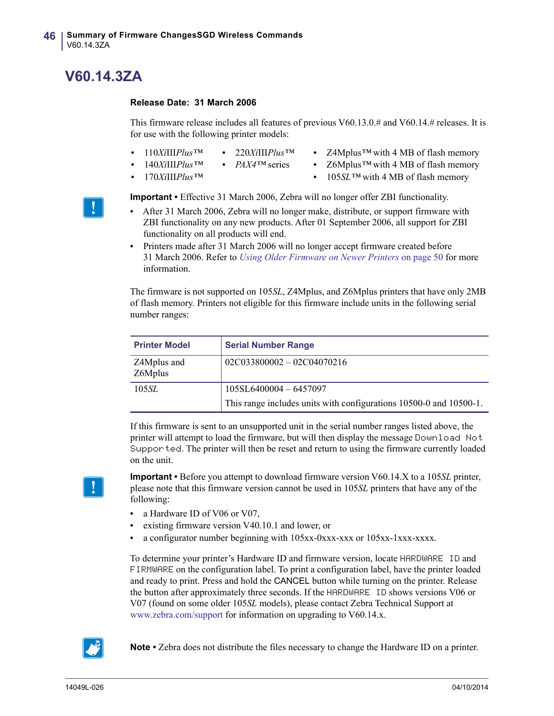### <span id="page-45-0"></span>**V60.14.3ZA**

#### <span id="page-45-1"></span>**Release Date: 31 March 2006**

This firmware release includes all features of previous V60.13.0.# and V60.14.# releases. It is for use with the following printer models:

- **•** 110*Xi*III*Plus™* **•** 220*Xi*III*Plus™*
- **•** Z4Mplus*™* with 4 MB of flash memory
- **•** 140*Xi*III*Plus™*
- **•** *PAX4™* series
- **•** 170*Xi*III*Plus™*
- **•** Z6Mplus*™* with 4 MB of flash memory
- **•** 105*SL™* with 4 MB of flash memory

**Important •** Effective 31 March 2006, Zebra will no longer offer ZBI functionality.

- **•** After 31 March 2006, Zebra will no longer make, distribute, or support firmware with ZBI functionality on any new products. After 01 September 2006, all support for ZBI functionality on all products will end.
- **•** Printers made after 31 March 2006 will no longer accept firmware created before 31 March 2006. Refer to *[Using Older Firmware on Newer Printers](#page-49-0)* on page 50 for more information.

The firmware is not supported on 105*SL*, Z4Mplus, and Z6Mplus printers that have only 2MB of flash memory. Printers not eligible for this firmware include units in the following serial number ranges:

| <b>Printer Model</b>   | <b>Serial Number Range</b>                                         |
|------------------------|--------------------------------------------------------------------|
| Z4Mplus and<br>Z6Mplus | $02C033800002 - 02C04070216$                                       |
| 105 <i>SL</i>          | $105SL6400004 - 6457097$                                           |
|                        | This range includes units with configurations 10500-0 and 10500-1. |

If this firmware is sent to an unsupported unit in the serial number ranges listed above, the printer will attempt to load the firmware, but will then display the message Download Not Supported. The printer will then be reset and return to using the firmware currently loaded on the unit.

**Important •** Before you attempt to download firmware version V60.14.X to a 105*SL* printer, please note that this firmware version cannot be used in 105*SL* printers that have any of the following:

- a Hardware ID of V06 or V07,
- **•** existing firmware version V40.10.1 and lower, or
- **•** a configurator number beginning with 105xx-0xxx-xxx or 105xx-1xxx-xxxx.

To determine your printer's Hardware ID and firmware version, locate HARDWARE ID and FIRMWARE on the configuration label. To print a configuration label, have the printer loaded and ready to print. Press and hold the CANCEL button while turning on the printer. Release the button after approximately three seconds. If the HARDWARE ID shows versions V06 or V07 (found on some older 105*SL* models), please contact Zebra Technical Support at [www.zebra.com/support](http://www.zebra.com/support) for information on upgrading to V60.14.x.



**Note •** Zebra does not distribute the files necessary to change the Hardware ID on a printer.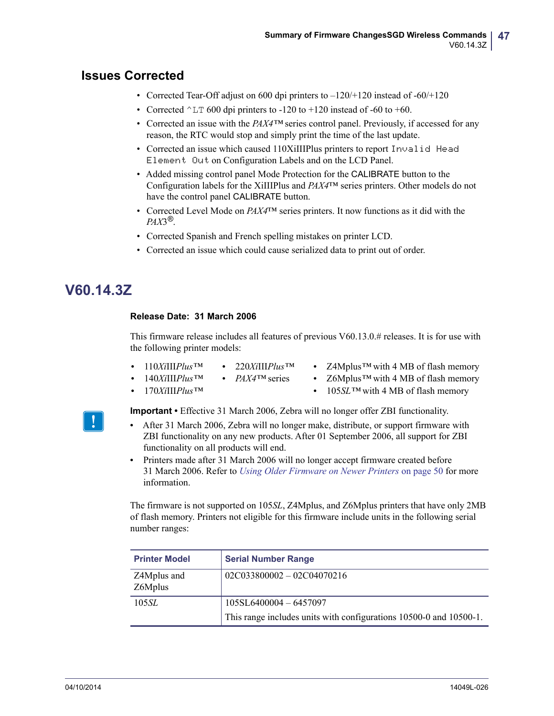### **Issues Corrected**

- Corrected Tear-Off adjust on 600 dpi printers to  $-120/+120$  instead of  $-60/+120$
- Corrected  $\textdegree$ LT 600 dpi printers to -120 to +120 instead of -60 to +60.
- Corrected an issue with the *PAX4™* series control panel. Previously, if accessed for any reason, the RTC would stop and simply print the time of the last update.
- Corrected an issue which caused 110XiIIIPlus printers to report Invalid Head Element Out on Configuration Labels and on the LCD Panel.
- Added missing control panel Mode Protection for the CALIBRATE button to the Configuration labels for the XiIIIPlus and *PAX4*™ series printers. Other models do not have the control panel CALIBRATE button.
- Corrected Level Mode on *PAX4*™ series printers. It now functions as it did with the *PAX*3*®*.
- Corrected Spanish and French spelling mistakes on printer LCD.
- Corrected an issue which could cause serialized data to print out of order.

### <span id="page-46-1"></span>**V60.14.3Z**

#### <span id="page-46-0"></span>**Release Date: 31 March 2006**

This firmware release includes all features of previous V60.13.0.# releases. It is for use with the following printer models:

- **•** 110*Xi*III*Plus™* **•** 220*Xi*III*Plus™*
- **•** Z4Mplus*™* with 4 MB of flash memory
- **•** 140*Xi*III*Plus™* **•** *PAX4™* series
- **•** Z6Mplus*™* with 4 MB of flash memory

**•** 170*Xi*III*Plus™*

**•** 105*SL™* with 4 MB of flash memory



**Important •** Effective 31 March 2006, Zebra will no longer offer ZBI functionality.

- **•** After 31 March 2006, Zebra will no longer make, distribute, or support firmware with ZBI functionality on any new products. After 01 September 2006, all support for ZBI functionality on all products will end.
- **•** Printers made after 31 March 2006 will no longer accept firmware created before 31 March 2006. Refer to *[Using Older Firmware on Newer Printers](#page-49-0)* on page 50 for more information.

The firmware is not supported on 105*SL*, Z4Mplus, and Z6Mplus printers that have only 2MB of flash memory. Printers not eligible for this firmware include units in the following serial number ranges:

| <b>Printer Model</b>   | <b>Serial Number Range</b>                                         |
|------------------------|--------------------------------------------------------------------|
| Z4Mplus and<br>Z6Mplus | $02C033800002 - 02C04070216$                                       |
| 105 <i>SL</i>          | $105SL6400004 - 6457097$                                           |
|                        | This range includes units with configurations 10500-0 and 10500-1. |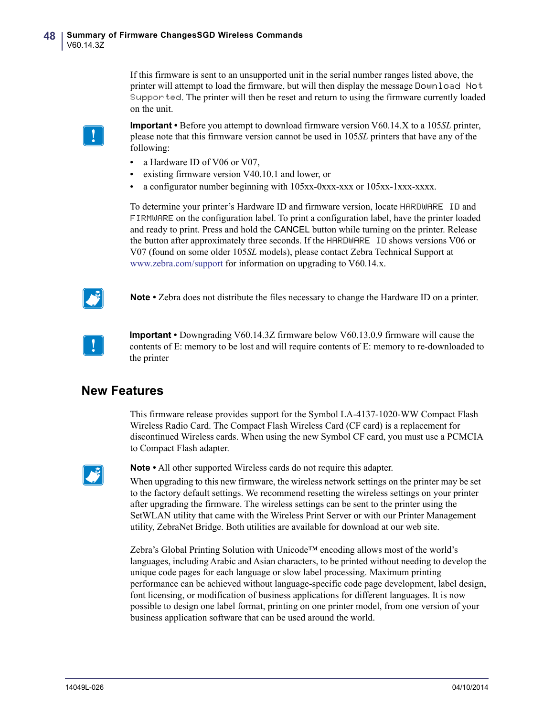If this firmware is sent to an unsupported unit in the serial number ranges listed above, the printer will attempt to load the firmware, but will then display the message Download Not Supported. The printer will then be reset and return to using the firmware currently loaded on the unit.

**Important •** Before you attempt to download firmware version V60.14.X to a 105*SL* printer, please note that this firmware version cannot be used in 105*SL* printers that have any of the following:

- a Hardware ID of V06 or V07,
- **•** existing firmware version V40.10.1 and lower, or
- **•** a configurator number beginning with 105xx-0xxx-xxx or 105xx-1xxx-xxxx.

To determine your printer's Hardware ID and firmware version, locate HARDWARE ID and FIRMWARE on the configuration label. To print a configuration label, have the printer loaded and ready to print. Press and hold the CANCEL button while turning on the printer. Release the button after approximately three seconds. If the HARDWARE ID shows versions V06 or V07 (found on some older 105*SL* models), please contact Zebra Technical Support at [www.zebra.com/support](http://www.zebra.com/support) for information on upgrading to V60.14.x.



**Note •** Zebra does not distribute the files necessary to change the Hardware ID on a printer.



**Important •** Downgrading V60.14.3Z firmware below V60.13.0.9 firmware will cause the contents of E: memory to be lost and will require contents of E: memory to re-downloaded to the printer

### **New Features**

This firmware release provides support for the Symbol LA-4137-1020-WW Compact Flash Wireless Radio Card. The Compact Flash Wireless Card (CF card) is a replacement for discontinued Wireless cards. When using the new Symbol CF card, you must use a PCMCIA to Compact Flash adapter.



**Note •** All other supported Wireless cards do not require this adapter.

When upgrading to this new firmware, the wireless network settings on the printer may be set to the factory default settings. We recommend resetting the wireless settings on your printer after upgrading the firmware. The wireless settings can be sent to the printer using the SetWLAN utility that came with the Wireless Print Server or with our Printer Management utility, ZebraNet Bridge. Both utilities are available for download at our web site.

Zebra's Global Printing Solution with Unicode™ encoding allows most of the world's languages, including Arabic and Asian characters, to be printed without needing to develop the unique code pages for each language or slow label processing. Maximum printing performance can be achieved without language-specific code page development, label design, font licensing, or modification of business applications for different languages. It is now possible to design one label format, printing on one printer model, from one version of your business application software that can be used around the world.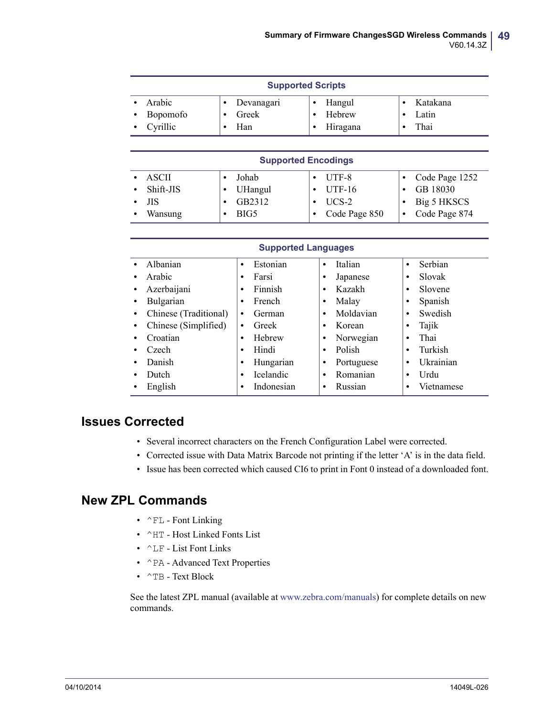| <b>Supported Scripts</b> |          |  |            |  |          |  |          |
|--------------------------|----------|--|------------|--|----------|--|----------|
|                          | Arabic   |  | Devanagari |  | Hangul   |  | Katakana |
|                          | Bopomofo |  | Greek      |  | Hebrew   |  | Latin    |
|                          | Cyrillic |  | Han        |  | Hiragana |  | Thai     |

| <b>Supported Encodings</b> |         |               |                     |  |  |
|----------------------------|---------|---------------|---------------------|--|--|
| ASCII                      | Johab   | UTF-8         | • Code Page $1252$  |  |  |
| Shift-JIS<br>٠             | UHangul | $UTF-16$      | GB 18030            |  |  |
| ЛS                         | GB2312  | UCS-2         | $\cdot$ Big 5 HKSCS |  |  |
| Wansung                    | BIG5    | Code Page 850 | Code Page 874       |  |  |

| <b>Supported Languages</b> |                       |                       |                 |                      |  |
|----------------------------|-----------------------|-----------------------|-----------------|----------------------|--|
|                            | Albanian              | Estonian<br>$\bullet$ | Italian<br>٠    | Serbian<br>$\bullet$ |  |
|                            | Arabic                | Farsi<br>٠            | Japanese<br>٠   | Slovak<br>٠          |  |
|                            | Azerbaijani           | Finnish<br>٠          | Kazakh<br>٠     | Slovene<br>٠         |  |
|                            | Bulgarian             | French<br>٠           | Malay<br>٠      | Spanish<br>٠         |  |
|                            | Chinese (Traditional) | German<br>$\bullet$   | Moldavian<br>٠  | Swedish<br>$\bullet$ |  |
|                            | Chinese (Simplified)  | Greek<br>$\bullet$    | Korean<br>٠     | Tajik<br>٠           |  |
|                            | Croatian              | Hebrew<br>$\bullet$   | Norwegian<br>٠  | Thai<br>٠            |  |
|                            | Czech                 | Hindi<br>$\bullet$    | Polish<br>٠     | Turkish              |  |
| ٠                          | Danish                | Hungarian<br>٠        | Portuguese<br>٠ | Ukrainian            |  |
| ٠                          | Dutch                 | <b>Icelandic</b><br>٠ | Romanian<br>٠   | Urdu                 |  |
|                            | English               | Indonesian<br>٠       | Russian<br>٠    | Vietnamese           |  |

### **Issues Corrected**

- Several incorrect characters on the French Configuration Label were corrected.
- Corrected issue with Data Matrix Barcode not printing if the letter 'A' is in the data field.
- Issue has been corrected which caused CI6 to print in Font 0 instead of a downloaded font.

### **New ZPL Commands**

- $^{\wedge}$  FL Font Linking
- ^HT Host Linked Fonts List
- ^LF List Font Links
- ^PA Advanced Text Properties
- ^TB Text Block

[See the latest ZPL manual \(available at w](http://www.zebra.com/manuals)ww.zebra.com/manuals) for complete details on new commands.